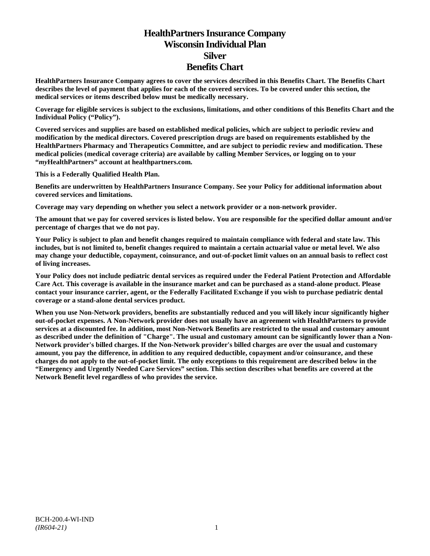# **HealthPartners Insurance Company Wisconsin Individual Plan Silver Benefits Chart**

**HealthPartners Insurance Company agrees to cover the services described in this Benefits Chart. The Benefits Chart describes the level of payment that applies for each of the covered services. To be covered under this section, the medical services or items described below must be medically necessary.**

**Coverage for eligible services is subject to the exclusions, limitations, and other conditions of this Benefits Chart and the Individual Policy ("Policy").**

**Covered services and supplies are based on established medical policies, which are subject to periodic review and modification by the medical directors. Covered prescription drugs are based on requirements established by the HealthPartners Pharmacy and Therapeutics Committee, and are subject to periodic review and modification. These medical policies (medical coverage criteria) are available by calling Member Services, or logging on to your "***my***HealthPartners" account at [healthpartners.com.](http://www.healthpartners.com/)**

**This is a Federally Qualified Health Plan.**

**Benefits are underwritten by HealthPartners Insurance Company. See your Policy for additional information about covered services and limitations.**

**Coverage may vary depending on whether you select a network provider or a non-network provider.**

**The amount that we pay for covered services is listed below. You are responsible for the specified dollar amount and/or percentage of charges that we do not pay.**

**Your Policy is subject to plan and benefit changes required to maintain compliance with federal and state law. This includes, but is not limited to, benefit changes required to maintain a certain actuarial value or metal level. We also may change your deductible, copayment, coinsurance, and out-of-pocket limit values on an annual basis to reflect cost of living increases.**

**Your Policy does not include pediatric dental services as required under the Federal Patient Protection and Affordable Care Act. This coverage is available in the insurance market and can be purchased as a stand-alone product. Please contact your insurance carrier, agent, or the Federally Facilitated Exchange if you wish to purchase pediatric dental coverage or a stand-alone dental services product.**

**When you use Non-Network providers, benefits are substantially reduced and you will likely incur significantly higher out-of-pocket expenses. A Non-Network provider does not usually have an agreement with HealthPartners to provide services at a discounted fee. In addition, most Non-Network Benefits are restricted to the usual and customary amount as described under the definition of "Charge". The usual and customary amount can be significantly lower than a Non-Network provider's billed charges. If the Non-Network provider's billed charges are over the usual and customary amount, you pay the difference, in addition to any required deductible, copayment and/or coinsurance, and these charges do not apply to the out-of-pocket limit. The only exceptions to this requirement are described below in the "Emergency and Urgently Needed Care Services" section. This section describes what benefits are covered at the Network Benefit level regardless of who provides the service.**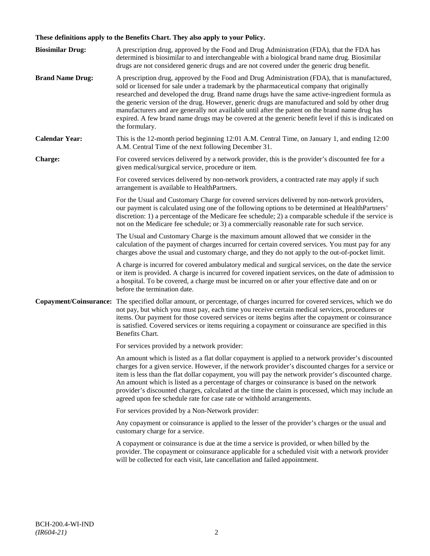# **These definitions apply to the Benefits Chart. They also apply to your Policy.**

| <b>Biosimilar Drug:</b> | A prescription drug, approved by the Food and Drug Administration (FDA), that the FDA has<br>determined is biosimilar to and interchangeable with a biological brand name drug. Biosimilar<br>drugs are not considered generic drugs and are not covered under the generic drug benefit.                                                                                                                                                                                                                                                                                                                                     |
|-------------------------|------------------------------------------------------------------------------------------------------------------------------------------------------------------------------------------------------------------------------------------------------------------------------------------------------------------------------------------------------------------------------------------------------------------------------------------------------------------------------------------------------------------------------------------------------------------------------------------------------------------------------|
| <b>Brand Name Drug:</b> | A prescription drug, approved by the Food and Drug Administration (FDA), that is manufactured,<br>sold or licensed for sale under a trademark by the pharmaceutical company that originally<br>researched and developed the drug. Brand name drugs have the same active-ingredient formula as<br>the generic version of the drug. However, generic drugs are manufactured and sold by other drug<br>manufacturers and are generally not available until after the patent on the brand name drug has<br>expired. A few brand name drugs may be covered at the generic benefit level if this is indicated on<br>the formulary. |
| <b>Calendar Year:</b>   | This is the 12-month period beginning 12:01 A.M. Central Time, on January 1, and ending 12:00<br>A.M. Central Time of the next following December 31.                                                                                                                                                                                                                                                                                                                                                                                                                                                                        |
| Charge:                 | For covered services delivered by a network provider, this is the provider's discounted fee for a<br>given medical/surgical service, procedure or item.                                                                                                                                                                                                                                                                                                                                                                                                                                                                      |
|                         | For covered services delivered by non-network providers, a contracted rate may apply if such<br>arrangement is available to HealthPartners.                                                                                                                                                                                                                                                                                                                                                                                                                                                                                  |
|                         | For the Usual and Customary Charge for covered services delivered by non-network providers,<br>our payment is calculated using one of the following options to be determined at HealthPartners'<br>discretion: 1) a percentage of the Medicare fee schedule; 2) a comparable schedule if the service is<br>not on the Medicare fee schedule; or 3) a commercially reasonable rate for such service.                                                                                                                                                                                                                          |
|                         | The Usual and Customary Charge is the maximum amount allowed that we consider in the<br>calculation of the payment of charges incurred for certain covered services. You must pay for any<br>charges above the usual and customary charge, and they do not apply to the out-of-pocket limit.                                                                                                                                                                                                                                                                                                                                 |
|                         | A charge is incurred for covered ambulatory medical and surgical services, on the date the service<br>or item is provided. A charge is incurred for covered inpatient services, on the date of admission to<br>a hospital. To be covered, a charge must be incurred on or after your effective date and on or<br>before the termination date.                                                                                                                                                                                                                                                                                |
| Copayment/Coinsurance:  | The specified dollar amount, or percentage, of charges incurred for covered services, which we do<br>not pay, but which you must pay, each time you receive certain medical services, procedures or<br>items. Our payment for those covered services or items begins after the copayment or coinsurance<br>is satisfied. Covered services or items requiring a copayment or coinsurance are specified in this<br>Benefits Chart.                                                                                                                                                                                             |
|                         | For services provided by a network provider:                                                                                                                                                                                                                                                                                                                                                                                                                                                                                                                                                                                 |
|                         | An amount which is listed as a flat dollar copayment is applied to a network provider's discounted<br>charges for a given service. However, if the network provider's discounted charges for a service or<br>item is less than the flat dollar copayment, you will pay the network provider's discounted charge.<br>An amount which is listed as a percentage of charges or coinsurance is based on the network<br>provider's discounted charges, calculated at the time the claim is processed, which may include an<br>agreed upon fee schedule rate for case rate or withhold arrangements.                               |
|                         | For services provided by a Non-Network provider:                                                                                                                                                                                                                                                                                                                                                                                                                                                                                                                                                                             |
|                         | Any copayment or coinsurance is applied to the lesser of the provider's charges or the usual and<br>customary charge for a service.                                                                                                                                                                                                                                                                                                                                                                                                                                                                                          |
|                         | A copayment or coinsurance is due at the time a service is provided, or when billed by the<br>provider. The copayment or coinsurance applicable for a scheduled visit with a network provider<br>will be collected for each visit, late cancellation and failed appointment.                                                                                                                                                                                                                                                                                                                                                 |
|                         |                                                                                                                                                                                                                                                                                                                                                                                                                                                                                                                                                                                                                              |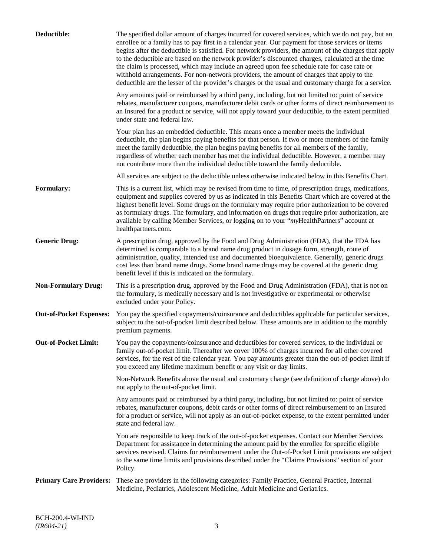| Deductible:                    | The specified dollar amount of charges incurred for covered services, which we do not pay, but an<br>enrollee or a family has to pay first in a calendar year. Our payment for those services or items<br>begins after the deductible is satisfied. For network providers, the amount of the charges that apply<br>to the deductible are based on the network provider's discounted charges, calculated at the time<br>the claim is processed, which may include an agreed upon fee schedule rate for case rate or<br>withhold arrangements. For non-network providers, the amount of charges that apply to the<br>deductible are the lesser of the provider's charges or the usual and customary charge for a service. |
|--------------------------------|-------------------------------------------------------------------------------------------------------------------------------------------------------------------------------------------------------------------------------------------------------------------------------------------------------------------------------------------------------------------------------------------------------------------------------------------------------------------------------------------------------------------------------------------------------------------------------------------------------------------------------------------------------------------------------------------------------------------------|
|                                | Any amounts paid or reimbursed by a third party, including, but not limited to: point of service<br>rebates, manufacturer coupons, manufacturer debit cards or other forms of direct reimbursement to<br>an Insured for a product or service, will not apply toward your deductible, to the extent permitted<br>under state and federal law.                                                                                                                                                                                                                                                                                                                                                                            |
|                                | Your plan has an embedded deductible. This means once a member meets the individual<br>deductible, the plan begins paying benefits for that person. If two or more members of the family<br>meet the family deductible, the plan begins paying benefits for all members of the family,<br>regardless of whether each member has met the individual deductible. However, a member may<br>not contribute more than the individual deductible toward the family deductible.                                                                                                                                                                                                                                                |
|                                | All services are subject to the deductible unless otherwise indicated below in this Benefits Chart.                                                                                                                                                                                                                                                                                                                                                                                                                                                                                                                                                                                                                     |
| <b>Formulary:</b>              | This is a current list, which may be revised from time to time, of prescription drugs, medications,<br>equipment and supplies covered by us as indicated in this Benefits Chart which are covered at the<br>highest benefit level. Some drugs on the formulary may require prior authorization to be covered<br>as formulary drugs. The formulary, and information on drugs that require prior authorization, are<br>available by calling Member Services, or logging on to your "myHealthPartners" account at<br>healthpartners.com.                                                                                                                                                                                   |
| <b>Generic Drug:</b>           | A prescription drug, approved by the Food and Drug Administration (FDA), that the FDA has<br>determined is comparable to a brand name drug product in dosage form, strength, route of<br>administration, quality, intended use and documented bioequivalence. Generally, generic drugs<br>cost less than brand name drugs. Some brand name drugs may be covered at the generic drug<br>benefit level if this is indicated on the formulary.                                                                                                                                                                                                                                                                             |
| <b>Non-Formulary Drug:</b>     | This is a prescription drug, approved by the Food and Drug Administration (FDA), that is not on<br>the formulary, is medically necessary and is not investigative or experimental or otherwise<br>excluded under your Policy.                                                                                                                                                                                                                                                                                                                                                                                                                                                                                           |
| <b>Out-of-Pocket Expenses:</b> | You pay the specified copayments/coinsurance and deductibles applicable for particular services,<br>subject to the out-of-pocket limit described below. These amounts are in addition to the monthly<br>premium payments.                                                                                                                                                                                                                                                                                                                                                                                                                                                                                               |
| <b>Out-of-Pocket Limit:</b>    | You pay the copayments/coinsurance and deductibles for covered services, to the individual or<br>family out-of-pocket limit. Thereafter we cover 100% of charges incurred for all other covered<br>services, for the rest of the calendar year. You pay amounts greater than the out-of-pocket limit if<br>you exceed any lifetime maximum benefit or any visit or day limits.                                                                                                                                                                                                                                                                                                                                          |
|                                | Non-Network Benefits above the usual and customary charge (see definition of charge above) do<br>not apply to the out-of-pocket limit.                                                                                                                                                                                                                                                                                                                                                                                                                                                                                                                                                                                  |
|                                | Any amounts paid or reimbursed by a third party, including, but not limited to: point of service<br>rebates, manufacturer coupons, debit cards or other forms of direct reimbursement to an Insured<br>for a product or service, will not apply as an out-of-pocket expense, to the extent permitted under<br>state and federal law.                                                                                                                                                                                                                                                                                                                                                                                    |
|                                | You are responsible to keep track of the out-of-pocket expenses. Contact our Member Services<br>Department for assistance in determining the amount paid by the enrollee for specific eligible<br>services received. Claims for reimbursement under the Out-of-Pocket Limit provisions are subject<br>to the same time limits and provisions described under the "Claims Provisions" section of your<br>Policy.                                                                                                                                                                                                                                                                                                         |
| <b>Primary Care Providers:</b> | These are providers in the following categories: Family Practice, General Practice, Internal<br>Medicine, Pediatrics, Adolescent Medicine, Adult Medicine and Geriatrics.                                                                                                                                                                                                                                                                                                                                                                                                                                                                                                                                               |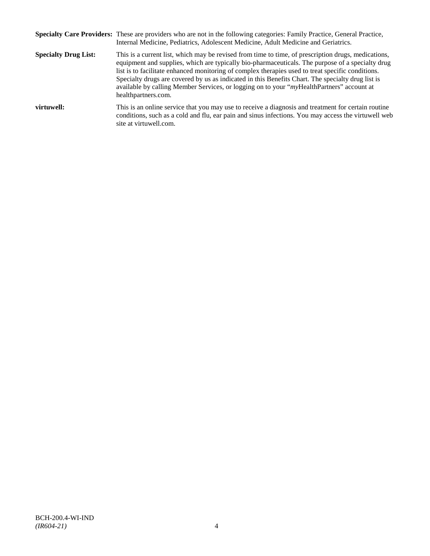|                             | Specialty Care Providers: These are providers who are not in the following categories: Family Practice, General Practice,<br>Internal Medicine, Pediatrics, Adolescent Medicine, Adult Medicine and Geriatrics.                                                                                                                                                                                                                                                                                                                       |
|-----------------------------|---------------------------------------------------------------------------------------------------------------------------------------------------------------------------------------------------------------------------------------------------------------------------------------------------------------------------------------------------------------------------------------------------------------------------------------------------------------------------------------------------------------------------------------|
| <b>Specialty Drug List:</b> | This is a current list, which may be revised from time to time, of prescription drugs, medications,<br>equipment and supplies, which are typically bio-pharmaceuticals. The purpose of a specialty drug<br>list is to facilitate enhanced monitoring of complex therapies used to treat specific conditions.<br>Specialty drugs are covered by us as indicated in this Benefits Chart. The specialty drug list is<br>available by calling Member Services, or logging on to your "myHealthPartners" account at<br>healthpartners.com. |
| virtuwell:                  | This is an online service that you may use to receive a diagnosis and treatment for certain routine<br>conditions, such as a cold and flu, ear pain and sinus infections. You may access the virtuwell web<br>site at virtuwell.com.                                                                                                                                                                                                                                                                                                  |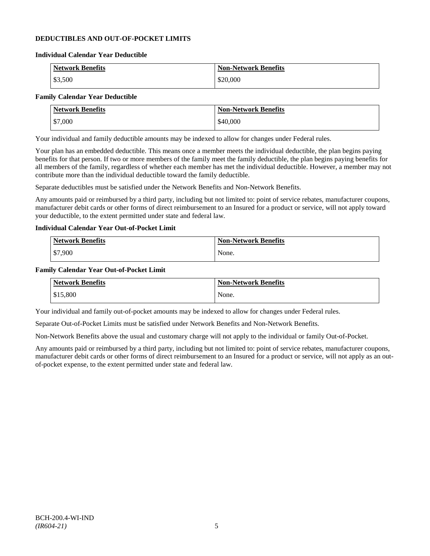# **DEDUCTIBLES AND OUT-OF-POCKET LIMITS**

#### **Individual Calendar Year Deductible**

| <b>Network Benefits</b> | <b>Non-Network Benefits</b> |
|-------------------------|-----------------------------|
| \$3,500                 | \$20,000                    |

# **Family Calendar Year Deductible**

| <b>Network Benefits</b> | <b>Non-Network Benefits</b> |
|-------------------------|-----------------------------|
| \$7,000                 | \$40,000                    |

Your individual and family deductible amounts may be indexed to allow for changes under Federal rules.

Your plan has an embedded deductible. This means once a member meets the individual deductible, the plan begins paying benefits for that person. If two or more members of the family meet the family deductible, the plan begins paying benefits for all members of the family, regardless of whether each member has met the individual deductible. However, a member may not contribute more than the individual deductible toward the family deductible.

Separate deductibles must be satisfied under the Network Benefits and Non-Network Benefits.

Any amounts paid or reimbursed by a third party, including but not limited to: point of service rebates, manufacturer coupons, manufacturer debit cards or other forms of direct reimbursement to an Insured for a product or service, will not apply toward your deductible, to the extent permitted under state and federal law.

# **Individual Calendar Year Out-of-Pocket Limit**

| Network Benefits | <b>Non-Network Benefits</b> |
|------------------|-----------------------------|
| \$7,900          | None.                       |

### **Family Calendar Year Out-of-Pocket Limit**

| <b>Network Benefits</b> | <b>Non-Network Benefits</b> |
|-------------------------|-----------------------------|
| \$15,800                | None.                       |

Your individual and family out-of-pocket amounts may be indexed to allow for changes under Federal rules.

Separate Out-of-Pocket Limits must be satisfied under Network Benefits and Non-Network Benefits.

Non-Network Benefits above the usual and customary charge will not apply to the individual or family Out-of-Pocket.

Any amounts paid or reimbursed by a third party, including but not limited to: point of service rebates, manufacturer coupons, manufacturer debit cards or other forms of direct reimbursement to an Insured for a product or service, will not apply as an outof-pocket expense, to the extent permitted under state and federal law.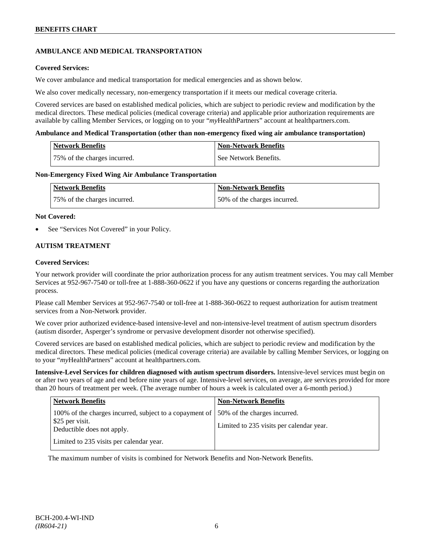# **AMBULANCE AND MEDICAL TRANSPORTATION**

# **Covered Services:**

We cover ambulance and medical transportation for medical emergencies and as shown below.

We also cover medically necessary, non-emergency transportation if it meets our medical coverage criteria.

Covered services are based on established medical policies, which are subject to periodic review and modification by the medical directors. These medical policies (medical coverage criteria) and applicable prior authorization requirements are available by calling Member Services, or logging on to your "*my*HealthPartners" account a[t healthpartners.com.](http://www.healthpartners.com/)

### **Ambulance and Medical Transportation (other than non-emergency fixed wing air ambulance transportation)**

| Network Benefits             | <b>Non-Network Benefits</b> |
|------------------------------|-----------------------------|
| 75% of the charges incurred. | See Network Benefits.       |

### **Non-Emergency Fixed Wing Air Ambulance Transportation**

| <b>Network Benefits</b>      | <b>Non-Network Benefits</b>  |
|------------------------------|------------------------------|
| 75% of the charges incurred. | 50% of the charges incurred. |

### **Not Covered:**

See "Services Not Covered" in your Policy.

# **AUTISM TREATMENT**

### **Covered Services:**

Your network provider will coordinate the prior authorization process for any autism treatment services. You may call Member Services at 952-967-7540 or toll-free at 1-888-360-0622 if you have any questions or concerns regarding the authorization process.

Please call Member Services at 952-967-7540 or toll-free at 1-888-360-0622 to request authorization for autism treatment services from a Non-Network provider.

We cover prior authorized evidence-based intensive-level and non-intensive-level treatment of autism spectrum disorders (autism disorder, Asperger's syndrome or pervasive development disorder not otherwise specified).

Covered services are based on established medical policies, which are subject to periodic review and modification by the medical directors. These medical policies (medical coverage criteria) are available by calling Member Services, or logging on to your "*my*HealthPartners" account at [healthpartners.com.](http://www.healthpartners.com/)

**Intensive-Level Services for children diagnosed with autism spectrum disorders.** Intensive-level services must begin on or after two years of age and end before nine years of age. Intensive-level services, on average, are services provided for more than 20 hours of treatment per week. (The average number of hours a week is calculated over a 6-month period.)

| <b>Network Benefits</b>                                                                                    | <b>Non-Network Benefits</b>                                              |
|------------------------------------------------------------------------------------------------------------|--------------------------------------------------------------------------|
| 100% of the charges incurred, subject to a copayment of  <br>\$25 per visit.<br>Deductible does not apply. | 50% of the charges incurred.<br>Limited to 235 visits per calendar year. |
| Limited to 235 visits per calendar year.                                                                   |                                                                          |

The maximum number of visits is combined for Network Benefits and Non-Network Benefits.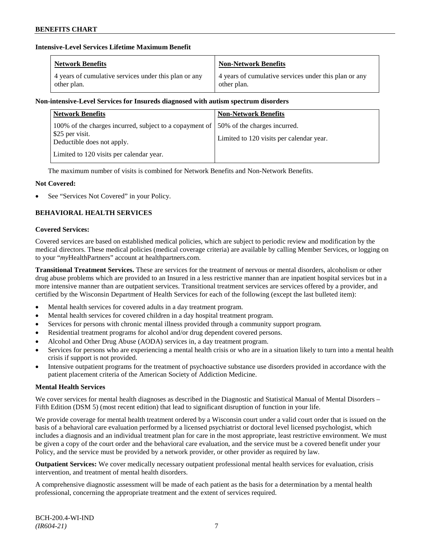# **Intensive-Level Services Lifetime Maximum Benefit**

| <b>Network Benefits</b>                               | <b>Non-Network Benefits</b>                           |
|-------------------------------------------------------|-------------------------------------------------------|
| 4 years of cumulative services under this plan or any | 4 years of cumulative services under this plan or any |
| other plan.                                           | other plan.                                           |

# **Non-intensive-Level Services for Insureds diagnosed with autism spectrum disorders**

| <b>Network Benefits</b>                                                                                                                       | <b>Non-Network Benefits</b>              |
|-----------------------------------------------------------------------------------------------------------------------------------------------|------------------------------------------|
| 100% of the charges incurred, subject to a copayment of $\vert$ 50% of the charges incurred.<br>\$25 per visit.<br>Deductible does not apply. | Limited to 120 visits per calendar year. |
| Limited to 120 visits per calendar year.                                                                                                      |                                          |

The maximum number of visits is combined for Network Benefits and Non-Network Benefits.

# **Not Covered:**

See "Services Not Covered" in your Policy.

# **BEHAVIORAL HEALTH SERVICES**

### **Covered Services:**

Covered services are based on established medical policies, which are subject to periodic review and modification by the medical directors. These medical policies (medical coverage criteria) are available by calling Member Services, or logging on to your "*my*HealthPartners" account at [healthpartners.com.](http://www.healthpartners.com/)

**Transitional Treatment Services.** These are services for the treatment of nervous or mental disorders, alcoholism or other drug abuse problems which are provided to an Insured in a less restrictive manner than are inpatient hospital services but in a more intensive manner than are outpatient services. Transitional treatment services are services offered by a provider, and certified by the Wisconsin Department of Health Services for each of the following (except the last bulleted item):

- Mental health services for covered adults in a day treatment program.
- Mental health services for covered children in a day hospital treatment program.
- Services for persons with chronic mental illness provided through a community support program.
- Residential treatment programs for alcohol and/or drug dependent covered persons.
- Alcohol and Other Drug Abuse (AODA) services in, a day treatment program.
- Services for persons who are experiencing a mental health crisis or who are in a situation likely to turn into a mental health crisis if support is not provided.
- Intensive outpatient programs for the treatment of psychoactive substance use disorders provided in accordance with the patient placement criteria of the American Society of Addiction Medicine.

# **Mental Health Services**

We cover services for mental health diagnoses as described in the Diagnostic and Statistical Manual of Mental Disorders – Fifth Edition (DSM 5) (most recent edition) that lead to significant disruption of function in your life.

We provide coverage for mental health treatment ordered by a Wisconsin court under a valid court order that is issued on the basis of a behavioral care evaluation performed by a licensed psychiatrist or doctoral level licensed psychologist, which includes a diagnosis and an individual treatment plan for care in the most appropriate, least restrictive environment. We must be given a copy of the court order and the behavioral care evaluation, and the service must be a covered benefit under your Policy, and the service must be provided by a network provider, or other provider as required by law.

**Outpatient Services:** We cover medically necessary outpatient professional mental health services for evaluation, crisis intervention, and treatment of mental health disorders.

A comprehensive diagnostic assessment will be made of each patient as the basis for a determination by a mental health professional, concerning the appropriate treatment and the extent of services required.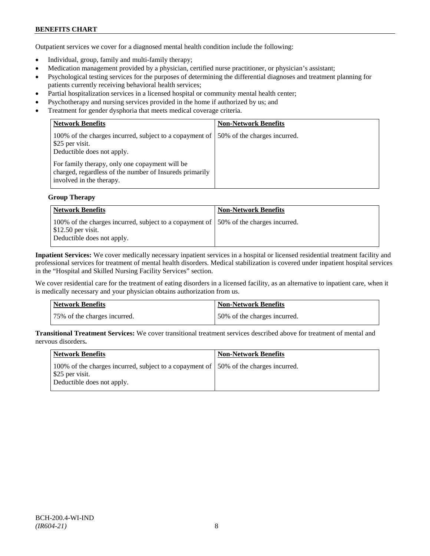# **BENEFITS CHART**

Outpatient services we cover for a diagnosed mental health condition include the following:

- Individual, group, family and multi-family therapy;
- Medication management provided by a physician, certified nurse practitioner, or physician's assistant;
- Psychological testing services for the purposes of determining the differential diagnoses and treatment planning for patients currently receiving behavioral health services;
- Partial hospitalization services in a licensed hospital or community mental health center;
- Psychotherapy and nursing services provided in the home if authorized by us; and
- Treatment for gender dysphoria that meets medical coverage criteria.

| <b>Network Benefits</b>                                                                                                               | <b>Non-Network Benefits</b>  |
|---------------------------------------------------------------------------------------------------------------------------------------|------------------------------|
| 100% of the charges incurred, subject to a copayment of<br>\$25 per visit.<br>Deductible does not apply.                              | 50% of the charges incurred. |
| For family therapy, only one copayment will be<br>charged, regardless of the number of Insureds primarily<br>involved in the therapy. |                              |

#### **Group Therapy**

| Network Benefits                                                                                                                                       | <b>Non-Network Benefits</b> |
|--------------------------------------------------------------------------------------------------------------------------------------------------------|-----------------------------|
| 100% of the charges incurred, subject to a copayment of 50% of the charges incurred.<br>$\frac{1}{2}$ \$12.50 per visit.<br>Deductible does not apply. |                             |

**Inpatient Services:** We cover medically necessary inpatient services in a hospital or licensed residential treatment facility and professional services for treatment of mental health disorders. Medical stabilization is covered under inpatient hospital services in the "Hospital and Skilled Nursing Facility Services" section.

We cover residential care for the treatment of eating disorders in a licensed facility, as an alternative to inpatient care, when it is medically necessary and your physician obtains authorization from us.

| <b>Network Benefits</b>      | Non-Network Benefits         |
|------------------------------|------------------------------|
| 75% of the charges incurred. | 50% of the charges incurred. |

**Transitional Treatment Services:** We cover transitional treatment services described above for treatment of mental and nervous disorders**.**

| Network Benefits                                                                                                                       | <b>Non-Network Benefits</b> |
|----------------------------------------------------------------------------------------------------------------------------------------|-----------------------------|
| 100% of the charges incurred, subject to a copayment of 150% of the charges incurred.<br>\$25 per visit.<br>Deductible does not apply. |                             |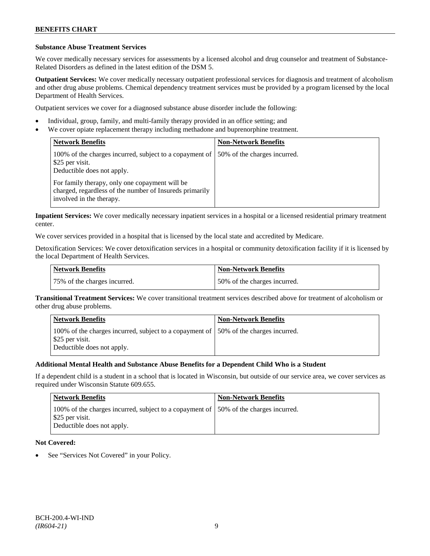### **Substance Abuse Treatment Services**

We cover medically necessary services for assessments by a licensed alcohol and drug counselor and treatment of Substance-Related Disorders as defined in the latest edition of the DSM 5.

**Outpatient Services:** We cover medically necessary outpatient professional services for diagnosis and treatment of alcoholism and other drug abuse problems. Chemical dependency treatment services must be provided by a program licensed by the local Department of Health Services.

Outpatient services we cover for a diagnosed substance abuse disorder include the following:

- Individual, group, family, and multi-family therapy provided in an office setting; and
- We cover opiate replacement therapy including methadone and buprenorphine treatment.

| <b>Network Benefits</b>                                                                                                               | <b>Non-Network Benefits</b>  |
|---------------------------------------------------------------------------------------------------------------------------------------|------------------------------|
| 100% of the charges incurred, subject to a copayment of<br>\$25 per visit.<br>Deductible does not apply.                              | 50% of the charges incurred. |
| For family therapy, only one copayment will be<br>charged, regardless of the number of Insureds primarily<br>involved in the therapy. |                              |

**Inpatient Services:** We cover medically necessary inpatient services in a hospital or a licensed residential primary treatment center.

We cover services provided in a hospital that is licensed by the local state and accredited by Medicare.

Detoxification Services: We cover detoxification services in a hospital or community detoxification facility if it is licensed by the local Department of Health Services.

| <b>Network Benefits</b>      | <b>Non-Network Benefits</b>  |
|------------------------------|------------------------------|
| 75% of the charges incurred. | 50% of the charges incurred. |

**Transitional Treatment Services:** We cover transitional treatment services described above for treatment of alcoholism or other drug abuse problems.

| <b>Network Benefits</b>                                                                                                                | <b>Non-Network Benefits</b> |
|----------------------------------------------------------------------------------------------------------------------------------------|-----------------------------|
| 100% of the charges incurred, subject to a copayment of 150% of the charges incurred.<br>\$25 per visit.<br>Deductible does not apply. |                             |

# **Additional Mental Health and Substance Abuse Benefits for a Dependent Child Who is a Student**

If a dependent child is a student in a school that is located in Wisconsin, but outside of our service area, we cover services as required under Wisconsin Statute 609.655.

| <b>Network Benefits</b>                                                                                                                | <b>Non-Network Benefits</b> |
|----------------------------------------------------------------------------------------------------------------------------------------|-----------------------------|
| 100% of the charges incurred, subject to a copayment of 150% of the charges incurred.<br>\$25 per visit.<br>Deductible does not apply. |                             |

# **Not Covered:**

See "Services Not Covered" in your Policy.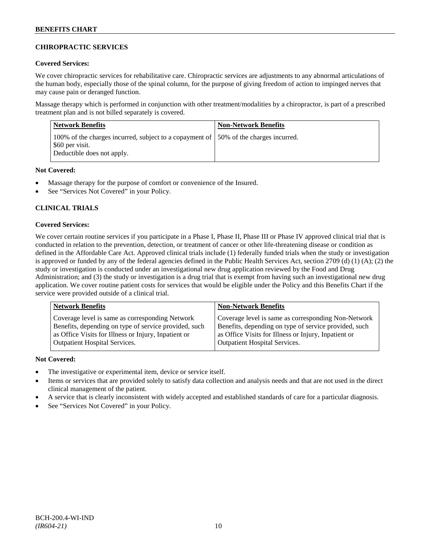# **CHIROPRACTIC SERVICES**

# **Covered Services:**

We cover chiropractic services for rehabilitative care. Chiropractic services are adjustments to any abnormal articulations of the human body, especially those of the spinal column, for the purpose of giving freedom of action to impinged nerves that may cause pain or deranged function.

Massage therapy which is performed in conjunction with other treatment/modalities by a chiropractor, is part of a prescribed treatment plan and is not billed separately is covered.

| <b>Network Benefits</b>                                                                                                                | <b>Non-Network Benefits</b> |
|----------------------------------------------------------------------------------------------------------------------------------------|-----------------------------|
| 100% of the charges incurred, subject to a copayment of 150% of the charges incurred.<br>\$60 per visit.<br>Deductible does not apply. |                             |

# **Not Covered:**

- Massage therapy for the purpose of comfort or convenience of the Insured.
- See "Services Not Covered" in your Policy.

# **CLINICAL TRIALS**

# **Covered Services:**

We cover certain routine services if you participate in a Phase I, Phase II, Phase III or Phase IV approved clinical trial that is conducted in relation to the prevention, detection, or treatment of cancer or other life-threatening disease or condition as defined in the Affordable Care Act. Approved clinical trials include (1) federally funded trials when the study or investigation is approved or funded by any of the federal agencies defined in the Public Health Services Act, section 2709 (d) (1) (A); (2) the study or investigation is conducted under an investigational new drug application reviewed by the Food and Drug Administration; and (3) the study or investigation is a drug trial that is exempt from having such an investigational new drug application. We cover routine patient costs for services that would be eligible under the Policy and this Benefits Chart if the service were provided outside of a clinical trial.

| <b>Network Benefits</b>                               | <b>Non-Network Benefits</b>                           |
|-------------------------------------------------------|-------------------------------------------------------|
| Coverage level is same as corresponding Network       | Coverage level is same as corresponding Non-Network   |
| Benefits, depending on type of service provided, such | Benefits, depending on type of service provided, such |
| as Office Visits for Illness or Injury, Inpatient or  | as Office Visits for Illness or Injury, Inpatient or  |
| <b>Outpatient Hospital Services.</b>                  | <b>Outpatient Hospital Services.</b>                  |

# **Not Covered:**

- The investigative or experimental item, device or service itself.
- Items or services that are provided solely to satisfy data collection and analysis needs and that are not used in the direct clinical management of the patient.
- A service that is clearly inconsistent with widely accepted and established standards of care for a particular diagnosis.
- See "Services Not Covered" in your Policy.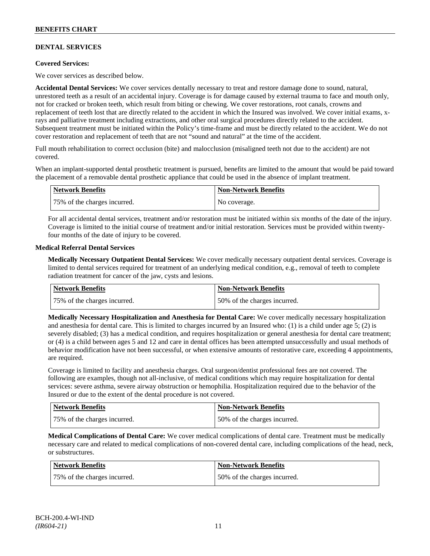# **DENTAL SERVICES**

# **Covered Services:**

We cover services as described below.

**Accidental Dental Services:** We cover services dentally necessary to treat and restore damage done to sound, natural, unrestored teeth as a result of an accidental injury. Coverage is for damage caused by external trauma to face and mouth only, not for cracked or broken teeth, which result from biting or chewing. We cover restorations, root canals, crowns and replacement of teeth lost that are directly related to the accident in which the Insured was involved. We cover initial exams, xrays and palliative treatment including extractions, and other oral surgical procedures directly related to the accident. Subsequent treatment must be initiated within the Policy's time-frame and must be directly related to the accident. We do not cover restoration and replacement of teeth that are not "sound and natural" at the time of the accident.

Full mouth rehabilitation to correct occlusion (bite) and malocclusion (misaligned teeth not due to the accident) are not covered.

When an implant-supported dental prosthetic treatment is pursued, benefits are limited to the amount that would be paid toward the placement of a removable dental prosthetic appliance that could be used in the absence of implant treatment.

| Network Benefits             | <b>Non-Network Benefits</b> |
|------------------------------|-----------------------------|
| 75% of the charges incurred. | No coverage.                |

For all accidental dental services, treatment and/or restoration must be initiated within six months of the date of the injury. Coverage is limited to the initial course of treatment and/or initial restoration. Services must be provided within twentyfour months of the date of injury to be covered.

# **Medical Referral Dental Services**

**Medically Necessary Outpatient Dental Services:** We cover medically necessary outpatient dental services. Coverage is limited to dental services required for treatment of an underlying medical condition, e.g., removal of teeth to complete radiation treatment for cancer of the jaw, cysts and lesions.

| Network Benefits             | <b>Non-Network Benefits</b>  |
|------------------------------|------------------------------|
| 75% of the charges incurred. | 50% of the charges incurred. |

**Medically Necessary Hospitalization and Anesthesia for Dental Care:** We cover medically necessary hospitalization and anesthesia for dental care. This is limited to charges incurred by an Insured who: (1) is a child under age  $5$ ; (2) is severely disabled; (3) has a medical condition, and requires hospitalization or general anesthesia for dental care treatment; or (4) is a child between ages 5 and 12 and care in dental offices has been attempted unsuccessfully and usual methods of behavior modification have not been successful, or when extensive amounts of restorative care, exceeding 4 appointments, are required.

Coverage is limited to facility and anesthesia charges. Oral surgeon/dentist professional fees are not covered. The following are examples, though not all-inclusive, of medical conditions which may require hospitalization for dental services: severe asthma, severe airway obstruction or hemophilia. Hospitalization required due to the behavior of the Insured or due to the extent of the dental procedure is not covered.

| Network Benefits             | <b>Non-Network Benefits</b>  |
|------------------------------|------------------------------|
| 75% of the charges incurred. | 50% of the charges incurred. |

**Medical Complications of Dental Care:** We cover medical complications of dental care. Treatment must be medically necessary care and related to medical complications of non-covered dental care, including complications of the head, neck, or substructures.

| <b>Network Benefits</b>      | <b>Non-Network Benefits</b>  |
|------------------------------|------------------------------|
| 75% of the charges incurred. | 50% of the charges incurred. |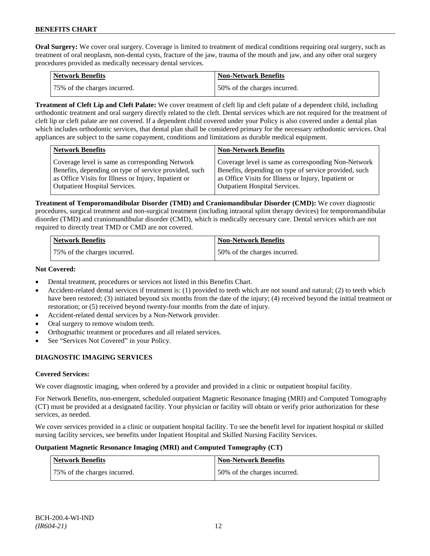**Oral Surgery:** We cover oral surgery. Coverage is limited to treatment of medical conditions requiring oral surgery, such as treatment of oral neoplasm, non-dental cysts, fracture of the jaw, trauma of the mouth and jaw, and any other oral surgery procedures provided as medically necessary dental services.

| Network Benefits             | <b>Non-Network Benefits</b>  |
|------------------------------|------------------------------|
| 75% of the charges incurred. | 50% of the charges incurred. |

**Treatment of Cleft Lip and Cleft Palate:** We cover treatment of cleft lip and cleft palate of a dependent child, including orthodontic treatment and oral surgery directly related to the cleft. Dental services which are not required for the treatment of cleft lip or cleft palate are not covered. If a dependent child covered under your Policy is also covered under a dental plan which includes orthodontic services, that dental plan shall be considered primary for the necessary orthodontic services. Oral appliances are subject to the same copayment, conditions and limitations as durable medical equipment.

| <b>Network Benefits</b>                               | <b>Non-Network Benefits</b>                           |
|-------------------------------------------------------|-------------------------------------------------------|
| Coverage level is same as corresponding Network       | Coverage level is same as corresponding Non-Network   |
| Benefits, depending on type of service provided, such | Benefits, depending on type of service provided, such |
| as Office Visits for Illness or Injury, Inpatient or  | as Office Visits for Illness or Injury, Inpatient or  |
| Outpatient Hospital Services.                         | <b>Outpatient Hospital Services.</b>                  |

**Treatment of Temporomandibular Disorder (TMD) and Craniomandibular Disorder (CMD):** We cover diagnostic procedures, surgical treatment and non-surgical treatment (including intraoral splint therapy devices) for temporomandibular disorder (TMD) and craniomandibular disorder (CMD), which is medically necessary care. Dental services which are not required to directly treat TMD or CMD are not covered.

| <b>Network Benefits</b>      | <b>Non-Network Benefits</b>  |
|------------------------------|------------------------------|
| 75% of the charges incurred. | 50% of the charges incurred. |

# **Not Covered:**

- Dental treatment, procedures or services not listed in this Benefits Chart.
- Accident-related dental services if treatment is: (1) provided to teeth which are not sound and natural; (2) to teeth which have been restored; (3) initiated beyond six months from the date of the injury; (4) received beyond the initial treatment or restoration; or (5) received beyond twenty-four months from the date of injury.
- Accident-related dental services by a Non-Network provider.
- Oral surgery to remove wisdom teeth.
- Orthognathic treatment or procedures and all related services.
- See "Services Not Covered" in your Policy.

# **DIAGNOSTIC IMAGING SERVICES**

# **Covered Services:**

We cover diagnostic imaging, when ordered by a provider and provided in a clinic or outpatient hospital facility.

For Network Benefits, non-emergent, scheduled outpatient Magnetic Resonance Imaging (MRI) and Computed Tomography (CT) must be provided at a designated facility. Your physician or facility will obtain or verify prior authorization for these services, as needed.

We cover services provided in a clinic or outpatient hospital facility. To see the benefit level for inpatient hospital or skilled nursing facility services, see benefits under Inpatient Hospital and Skilled Nursing Facility Services.

# **Outpatient Magnetic Resonance Imaging (MRI) and Computed Tomography (CT)**

| <b>Network Benefits</b>      | <b>Non-Network Benefits</b>  |
|------------------------------|------------------------------|
| 75% of the charges incurred. | 50% of the charges incurred. |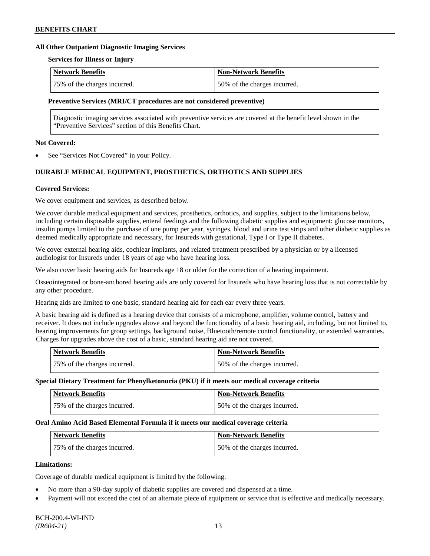#### **All Other Outpatient Diagnostic Imaging Services**

#### **Services for Illness or Injury**

| Network Benefits             | <b>Non-Network Benefits</b>  |
|------------------------------|------------------------------|
| 75% of the charges incurred. | 50% of the charges incurred. |

#### **Preventive Services (MRI/CT procedures are not considered preventive)**

Diagnostic imaging services associated with preventive services are covered at the benefit level shown in the "Preventive Services" section of this Benefits Chart.

### **Not Covered:**

See "Services Not Covered" in your Policy.

# **DURABLE MEDICAL EQUIPMENT, PROSTHETICS, ORTHOTICS AND SUPPLIES**

### **Covered Services:**

We cover equipment and services, as described below.

We cover durable medical equipment and services, prosthetics, orthotics, and supplies, subject to the limitations below, including certain disposable supplies, enteral feedings and the following diabetic supplies and equipment: glucose monitors, insulin pumps limited to the purchase of one pump per year, syringes, blood and urine test strips and other diabetic supplies as deemed medically appropriate and necessary, for Insureds with gestational, Type I or Type II diabetes.

We cover external hearing aids, cochlear implants, and related treatment prescribed by a physician or by a licensed audiologist for Insureds under 18 years of age who have hearing loss.

We also cover basic hearing aids for Insureds age 18 or older for the correction of a hearing impairment.

Osseointegrated or bone-anchored hearing aids are only covered for Insureds who have hearing loss that is not correctable by any other procedure.

Hearing aids are limited to one basic, standard hearing aid for each ear every three years.

A basic hearing aid is defined as a hearing device that consists of a microphone, amplifier, volume control, battery and receiver. It does not include upgrades above and beyond the functionality of a basic hearing aid, including, but not limited to, hearing improvements for group settings, background noise, Bluetooth/remote control functionality, or extended warranties. Charges for upgrades above the cost of a basic, standard hearing aid are not covered.

| Network Benefits             | <b>Non-Network Benefits</b>  |
|------------------------------|------------------------------|
| 75% of the charges incurred. | 50% of the charges incurred. |

#### **Special Dietary Treatment for Phenylketonuria (PKU) if it meets our medical coverage criteria**

| <b>Network Benefits</b>      | <b>Non-Network Benefits</b>  |
|------------------------------|------------------------------|
| 75% of the charges incurred. | 50% of the charges incurred. |

#### **Oral Amino Acid Based Elemental Formula if it meets our medical coverage criteria**

| Network Benefits             | <b>Non-Network Benefits</b>  |
|------------------------------|------------------------------|
| 75% of the charges incurred. | 50% of the charges incurred. |

### **Limitations:**

Coverage of durable medical equipment is limited by the following.

- No more than a 90-day supply of diabetic supplies are covered and dispensed at a time.
- Payment will not exceed the cost of an alternate piece of equipment or service that is effective and medically necessary.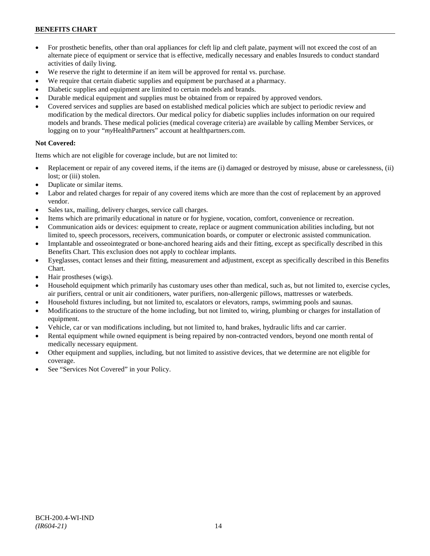# **BENEFITS CHART**

- For prosthetic benefits, other than oral appliances for cleft lip and cleft palate, payment will not exceed the cost of an alternate piece of equipment or service that is effective, medically necessary and enables Insureds to conduct standard activities of daily living.
- We reserve the right to determine if an item will be approved for rental vs. purchase.
- We require that certain diabetic supplies and equipment be purchased at a pharmacy.
- Diabetic supplies and equipment are limited to certain models and brands.
- Durable medical equipment and supplies must be obtained from or repaired by approved vendors.
- Covered services and supplies are based on established medical policies which are subject to periodic review and modification by the medical directors. Our medical policy for diabetic supplies includes information on our required models and brands. These medical policies (medical coverage criteria) are available by calling Member Services, or logging on to your "*my*HealthPartners" account at [healthpartners.com.](http://www.healthpartners.com/)

# **Not Covered:**

Items which are not eligible for coverage include, but are not limited to:

- Replacement or repair of any covered items, if the items are (i) damaged or destroyed by misuse, abuse or carelessness, (ii) lost; or (iii) stolen.
- Duplicate or similar items.
- Labor and related charges for repair of any covered items which are more than the cost of replacement by an approved vendor.
- Sales tax, mailing, delivery charges, service call charges.
- Items which are primarily educational in nature or for hygiene, vocation, comfort, convenience or recreation.
- Communication aids or devices: equipment to create, replace or augment communication abilities including, but not limited to, speech processors, receivers, communication boards, or computer or electronic assisted communication.
- Implantable and osseointegrated or bone-anchored hearing aids and their fitting, except as specifically described in this Benefits Chart. This exclusion does not apply to cochlear implants.
- Eyeglasses, contact lenses and their fitting, measurement and adjustment, except as specifically described in this Benefits Chart.
- Hair prostheses (wigs).
- Household equipment which primarily has customary uses other than medical, such as, but not limited to, exercise cycles, air purifiers, central or unit air conditioners, water purifiers, non-allergenic pillows, mattresses or waterbeds.
- Household fixtures including, but not limited to, escalators or elevators, ramps, swimming pools and saunas.
- Modifications to the structure of the home including, but not limited to, wiring, plumbing or charges for installation of equipment.
- Vehicle, car or van modifications including, but not limited to, hand brakes, hydraulic lifts and car carrier.
- Rental equipment while owned equipment is being repaired by non-contracted vendors, beyond one month rental of medically necessary equipment.
- Other equipment and supplies, including, but not limited to assistive devices, that we determine are not eligible for coverage.
- See "Services Not Covered" in your Policy.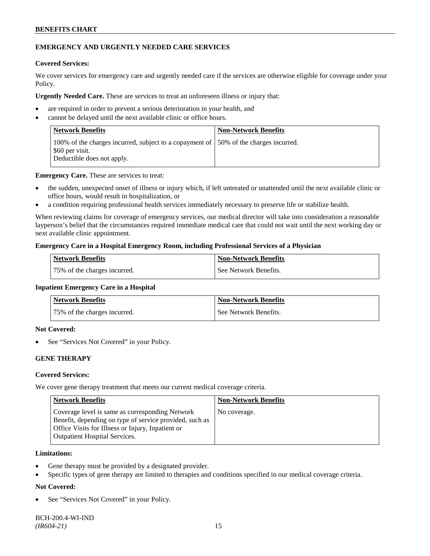# **BENEFITS CHART**

# **EMERGENCY AND URGENTLY NEEDED CARE SERVICES**

### **Covered Services:**

We cover services for emergency care and urgently needed care if the services are otherwise eligible for coverage under your Policy.

**Urgently Needed Care.** These are services to treat an unforeseen illness or injury that:

- are required in order to prevent a serious deterioration in your health, and
- cannot be delayed until the next available clinic or office hours.

| <b>Network Benefits</b>                                                                                                                | <b>Non-Network Benefits</b> |
|----------------------------------------------------------------------------------------------------------------------------------------|-----------------------------|
| 100% of the charges incurred, subject to a copayment of 150% of the charges incurred.<br>\$60 per visit.<br>Deductible does not apply. |                             |

**Emergency Care.** These are services to treat:

- the sudden, unexpected onset of illness or injury which, if left untreated or unattended until the next available clinic or office hours, would result in hospitalization, or
- a condition requiring professional health services immediately necessary to preserve life or stabilize health.

When reviewing claims for coverage of emergency services, our medical director will take into consideration a reasonable layperson's belief that the circumstances required immediate medical care that could not wait until the next working day or next available clinic appointment.

### **Emergency Care in a Hospital Emergency Room, including Professional Services of a Physician**

| <b>Network Benefits</b>       | <b>Non-Network Benefits</b> |
|-------------------------------|-----------------------------|
| 175% of the charges incurred. | See Network Benefits.       |

#### **Inpatient Emergency Care in a Hospital**

| <b>Network Benefits</b>      | <b>Non-Network Benefits</b> |
|------------------------------|-----------------------------|
| 75% of the charges incurred. | See Network Benefits.       |

### **Not Covered:**

See "Services Not Covered" in your Policy.

# **GENE THERAPY**

# **Covered Services:**

We cover gene therapy treatment that meets our current medical coverage criteria.

| <b>Network Benefits</b>                                                                                                                                                                                 | <b>Non-Network Benefits</b> |
|---------------------------------------------------------------------------------------------------------------------------------------------------------------------------------------------------------|-----------------------------|
| Coverage level is same as corresponding Network<br>Benefit, depending on type of service provided, such as<br>Office Visits for Illness or Injury, Inpatient or<br><b>Outpatient Hospital Services.</b> | No coverage.                |

### **Limitations:**

- Gene therapy must be provided by a designated provider.
- Specific types of gene therapy are limited to therapies and conditions specified in our medical coverage criteria.

# **Not Covered:**

See "Services Not Covered" in your Policy.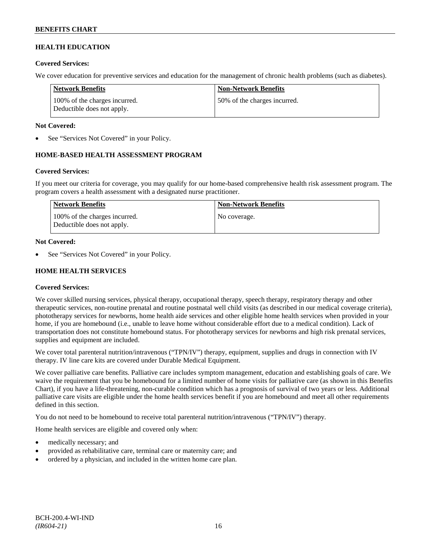# **HEALTH EDUCATION**

### **Covered Services:**

We cover education for preventive services and education for the management of chronic health problems (such as diabetes).

| Network Benefits                                            | <b>Non-Network Benefits</b>  |
|-------------------------------------------------------------|------------------------------|
| 100% of the charges incurred.<br>Deductible does not apply. | 50% of the charges incurred. |

### **Not Covered:**

See "Services Not Covered" in your Policy.

# **HOME-BASED HEALTH ASSESSMENT PROGRAM**

# **Covered Services:**

If you meet our criteria for coverage, you may qualify for our home-based comprehensive health risk assessment program. The program covers a health assessment with a designated nurse practitioner.

| <b>Network Benefits</b>                                     | <b>Non-Network Benefits</b> |
|-------------------------------------------------------------|-----------------------------|
| 100% of the charges incurred.<br>Deductible does not apply. | No coverage.                |

### **Not Covered:**

See "Services Not Covered" in your Policy.

# **HOME HEALTH SERVICES**

# **Covered Services:**

We cover skilled nursing services, physical therapy, occupational therapy, speech therapy, respiratory therapy and other therapeutic services, non-routine prenatal and routine postnatal well child visits (as described in our medical coverage criteria), phototherapy services for newborns, home health aide services and other eligible home health services when provided in your home, if you are homebound (i.e., unable to leave home without considerable effort due to a medical condition). Lack of transportation does not constitute homebound status. For phototherapy services for newborns and high risk prenatal services, supplies and equipment are included.

We cover total parenteral nutrition/intravenous ("TPN/IV") therapy, equipment, supplies and drugs in connection with IV therapy. IV line care kits are covered under Durable Medical Equipment.

We cover palliative care benefits. Palliative care includes symptom management, education and establishing goals of care. We waive the requirement that you be homebound for a limited number of home visits for palliative care (as shown in this Benefits Chart), if you have a life-threatening, non-curable condition which has a prognosis of survival of two years or less. Additional palliative care visits are eligible under the home health services benefit if you are homebound and meet all other requirements defined in this section.

You do not need to be homebound to receive total parenteral nutrition/intravenous ("TPN/IV") therapy.

Home health services are eligible and covered only when:

- medically necessary; and
- provided as rehabilitative care, terminal care or maternity care; and
- ordered by a physician, and included in the written home care plan.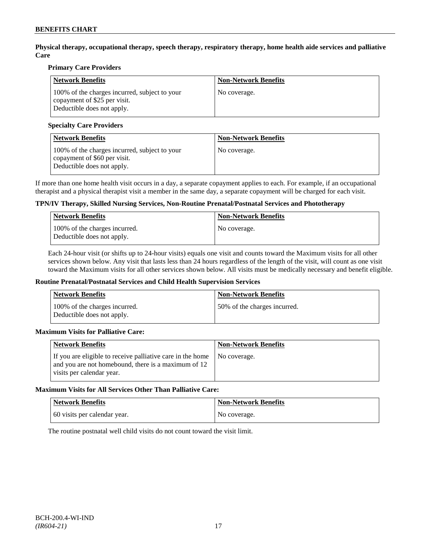**Physical therapy, occupational therapy, speech therapy, respiratory therapy, home health aide services and palliative Care**

# **Primary Care Providers**

| <b>Network Benefits</b>                                                                                     | <b>Non-Network Benefits</b> |
|-------------------------------------------------------------------------------------------------------------|-----------------------------|
| 100% of the charges incurred, subject to your<br>copayment of \$25 per visit.<br>Deductible does not apply. | No coverage.                |

# **Specialty Care Providers**

| <b>Network Benefits</b>                                                                                     | <b>Non-Network Benefits</b> |
|-------------------------------------------------------------------------------------------------------------|-----------------------------|
| 100% of the charges incurred, subject to your<br>copayment of \$60 per visit.<br>Deductible does not apply. | No coverage.                |

If more than one home health visit occurs in a day, a separate copayment applies to each. For example, if an occupational therapist and a physical therapist visit a member in the same day, a separate copayment will be charged for each visit.

# **TPN/IV Therapy, Skilled Nursing Services, Non-Routine Prenatal/Postnatal Services and Phototherapy**

| Network Benefits                                            | <b>Non-Network Benefits</b> |
|-------------------------------------------------------------|-----------------------------|
| 100% of the charges incurred.<br>Deductible does not apply. | No coverage.                |

Each 24-hour visit (or shifts up to 24-hour visits) equals one visit and counts toward the Maximum visits for all other services shown below. Any visit that lasts less than 24 hours regardless of the length of the visit, will count as one visit toward the Maximum visits for all other services shown below. All visits must be medically necessary and benefit eligible.

#### **Routine Prenatal/Postnatal Services and Child Health Supervision Services**

| Network Benefits                                            | <b>Non-Network Benefits</b>  |
|-------------------------------------------------------------|------------------------------|
| 100% of the charges incurred.<br>Deductible does not apply. | 50% of the charges incurred. |

# **Maximum Visits for Palliative Care:**

| Network Benefits                                                                                                                               | <b>Non-Network Benefits</b> |
|------------------------------------------------------------------------------------------------------------------------------------------------|-----------------------------|
| If you are eligible to receive palliative care in the home<br>and you are not homebound, there is a maximum of 12<br>visits per calendar year. | No coverage.                |

#### **Maximum Visits for All Services Other Than Palliative Care:**

| Network Benefits             | <b>Non-Network Benefits</b> |
|------------------------------|-----------------------------|
| 60 visits per calendar year. | No coverage.                |

The routine postnatal well child visits do not count toward the visit limit.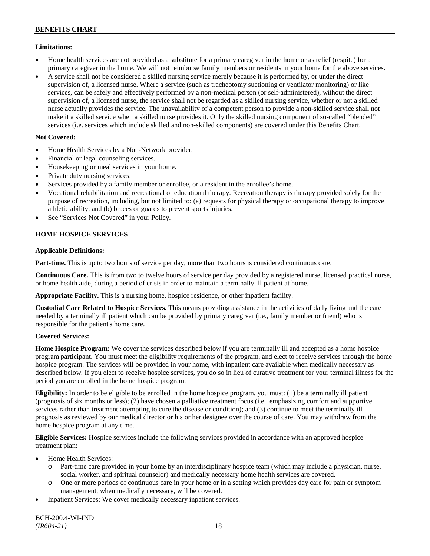# **Limitations:**

- Home health services are not provided as a substitute for a primary caregiver in the home or as relief (respite) for a primary caregiver in the home. We will not reimburse family members or residents in your home for the above services.
- A service shall not be considered a skilled nursing service merely because it is performed by, or under the direct supervision of, a licensed nurse. Where a service (such as tracheotomy suctioning or ventilator monitoring) or like services, can be safely and effectively performed by a non-medical person (or self-administered), without the direct supervision of, a licensed nurse, the service shall not be regarded as a skilled nursing service, whether or not a skilled nurse actually provides the service. The unavailability of a competent person to provide a non-skilled service shall not make it a skilled service when a skilled nurse provides it. Only the skilled nursing component of so-called "blended" services (i.e. services which include skilled and non-skilled components) are covered under this Benefits Chart.

# **Not Covered:**

- Home Health Services by a Non-Network provider.
- Financial or legal counseling services.
- Housekeeping or meal services in your home.
- Private duty nursing services.
- Services provided by a family member or enrollee, or a resident in the enrollee's home.
- Vocational rehabilitation and recreational or educational therapy. Recreation therapy is therapy provided solely for the purpose of recreation, including, but not limited to: (a) requests for physical therapy or occupational therapy to improve athletic ability, and (b) braces or guards to prevent sports injuries.
- See "Services Not Covered" in your Policy.

# **HOME HOSPICE SERVICES**

# **Applicable Definitions:**

**Part-time.** This is up to two hours of service per day, more than two hours is considered continuous care.

**Continuous Care.** This is from two to twelve hours of service per day provided by a registered nurse, licensed practical nurse, or home health aide, during a period of crisis in order to maintain a terminally ill patient at home.

**Appropriate Facility.** This is a nursing home, hospice residence, or other inpatient facility.

**Custodial Care Related to Hospice Services.** This means providing assistance in the activities of daily living and the care needed by a terminally ill patient which can be provided by primary caregiver (i.e., family member or friend) who is responsible for the patient's home care.

# **Covered Services:**

**Home Hospice Program:** We cover the services described below if you are terminally ill and accepted as a home hospice program participant. You must meet the eligibility requirements of the program, and elect to receive services through the home hospice program. The services will be provided in your home, with inpatient care available when medically necessary as described below. If you elect to receive hospice services, you do so in lieu of curative treatment for your terminal illness for the period you are enrolled in the home hospice program.

**Eligibility:** In order to be eligible to be enrolled in the home hospice program, you must: (1) be a terminally ill patient (prognosis of six months or less); (2) have chosen a palliative treatment focus (i.e., emphasizing comfort and supportive services rather than treatment attempting to cure the disease or condition); and (3) continue to meet the terminally ill prognosis as reviewed by our medical director or his or her designee over the course of care. You may withdraw from the home hospice program at any time.

**Eligible Services:** Hospice services include the following services provided in accordance with an approved hospice treatment plan:

- Home Health Services:
	- o Part-time care provided in your home by an interdisciplinary hospice team (which may include a physician, nurse, social worker, and spiritual counselor) and medically necessary home health services are covered.
	- o One or more periods of continuous care in your home or in a setting which provides day care for pain or symptom management, when medically necessary, will be covered.
- Inpatient Services: We cover medically necessary inpatient services.

BCH-200.4-WI-IND *(IR604-21)* 18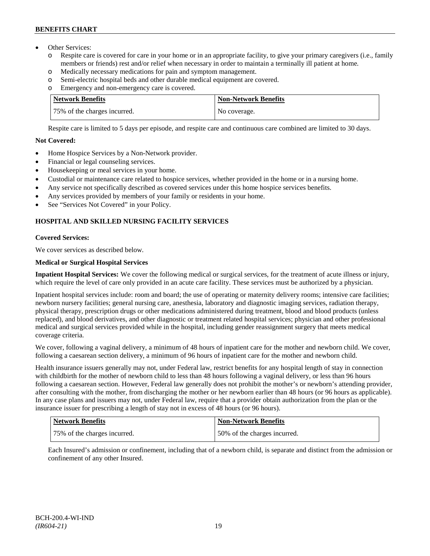# **BENEFITS CHART**

- Other Services:
	- o Respite care is covered for care in your home or in an appropriate facility, to give your primary caregivers (i.e., family members or friends) rest and/or relief when necessary in order to maintain a terminally ill patient at home*.*
	- o Medically necessary medications for pain and symptom management.
	- o Semi-electric hospital beds and other durable medical equipment are covered.
	- o Emergency and non-emergency care is covered.

| <b>Network Benefits</b>      | <b>Non-Network Benefits</b> |
|------------------------------|-----------------------------|
| 75% of the charges incurred. | No coverage.                |

Respite care is limited to 5 days per episode, and respite care and continuous care combined are limited to 30 days.

# **Not Covered:**

- Home Hospice Services by a Non-Network provider.
- Financial or legal counseling services.
- Housekeeping or meal services in your home.
- Custodial or maintenance care related to hospice services, whether provided in the home or in a nursing home.
- Any service not specifically described as covered services under this home hospice services benefits.
- Any services provided by members of your family or residents in your home.
- See "Services Not Covered" in your Policy.

# **HOSPITAL AND SKILLED NURSING FACILITY SERVICES**

# **Covered Services:**

We cover services as described below.

# **Medical or Surgical Hospital Services**

**Inpatient Hospital Services:** We cover the following medical or surgical services, for the treatment of acute illness or injury, which require the level of care only provided in an acute care facility. These services must be authorized by a physician.

Inpatient hospital services include: room and board; the use of operating or maternity delivery rooms; intensive care facilities; newborn nursery facilities; general nursing care, anesthesia, laboratory and diagnostic imaging services, radiation therapy, physical therapy, prescription drugs or other medications administered during treatment, blood and blood products (unless replaced), and blood derivatives, and other diagnostic or treatment related hospital services; physician and other professional medical and surgical services provided while in the hospital, including gender reassignment surgery that meets medical coverage criteria.

We cover, following a vaginal delivery, a minimum of 48 hours of inpatient care for the mother and newborn child. We cover, following a caesarean section delivery, a minimum of 96 hours of inpatient care for the mother and newborn child.

Health insurance issuers generally may not, under Federal law, restrict benefits for any hospital length of stay in connection with childbirth for the mother of newborn child to less than 48 hours following a vaginal delivery, or less than 96 hours following a caesarean section. However, Federal law generally does not prohibit the mother's or newborn's attending provider, after consulting with the mother, from discharging the mother or her newborn earlier than 48 hours (or 96 hours as applicable). In any case plans and issuers may not, under Federal law, require that a provider obtain authorization from the plan or the insurance issuer for prescribing a length of stay not in excess of 48 hours (or 96 hours).

| Network Benefits             | <b>Non-Network Benefits</b>   |
|------------------------------|-------------------------------|
| 75% of the charges incurred. | 150% of the charges incurred. |

Each Insured's admission or confinement, including that of a newborn child, is separate and distinct from the admission or confinement of any other Insured.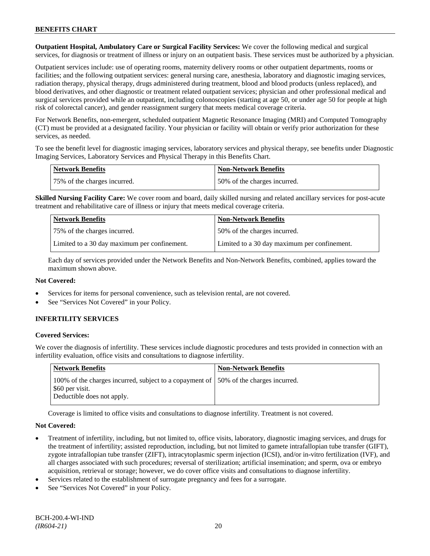**Outpatient Hospital, Ambulatory Care or Surgical Facility Services:** We cover the following medical and surgical services, for diagnosis or treatment of illness or injury on an outpatient basis. These services must be authorized by a physician.

Outpatient services include: use of operating rooms, maternity delivery rooms or other outpatient departments, rooms or facilities; and the following outpatient services: general nursing care, anesthesia, laboratory and diagnostic imaging services, radiation therapy, physical therapy, drugs administered during treatment, blood and blood products (unless replaced), and blood derivatives, and other diagnostic or treatment related outpatient services; physician and other professional medical and surgical services provided while an outpatient, including colonoscopies (starting at age 50, or under age 50 for people at high risk of colorectal cancer), and gender reassignment surgery that meets medical coverage criteria.

For Network Benefits, non-emergent, scheduled outpatient Magnetic Resonance Imaging (MRI) and Computed Tomography (CT) must be provided at a designated facility. Your physician or facility will obtain or verify prior authorization for these services, as needed.

To see the benefit level for diagnostic imaging services, laboratory services and physical therapy, see benefits under Diagnostic Imaging Services, Laboratory Services and Physical Therapy in this Benefits Chart.

| <b>Network Benefits</b>      | Non-Network Benefits         |
|------------------------------|------------------------------|
| 75% of the charges incurred. | 50% of the charges incurred. |

**Skilled Nursing Facility Care:** We cover room and board, daily skilled nursing and related ancillary services for post-acute treatment and rehabilitative care of illness or injury that meets medical coverage criteria.

| <b>Network Benefits</b>                      | <b>Non-Network Benefits</b>                  |
|----------------------------------------------|----------------------------------------------|
| 75% of the charges incurred.                 | 50% of the charges incurred.                 |
| Limited to a 30 day maximum per confinement. | Limited to a 30 day maximum per confinement. |

Each day of services provided under the Network Benefits and Non-Network Benefits, combined, applies toward the maximum shown above.

# **Not Covered:**

- Services for items for personal convenience, such as television rental, are not covered.
- See "Services Not Covered" in your Policy.

# **INFERTILITY SERVICES**

# **Covered Services:**

We cover the diagnosis of infertility. These services include diagnostic procedures and tests provided in connection with an infertility evaluation, office visits and consultations to diagnose infertility.

| <b>Network Benefits</b>                                                                                                                | <b>Non-Network Benefits</b> |
|----------------------------------------------------------------------------------------------------------------------------------------|-----------------------------|
| 100% of the charges incurred, subject to a copayment of 150% of the charges incurred.<br>\$60 per visit.<br>Deductible does not apply. |                             |

Coverage is limited to office visits and consultations to diagnose infertility. Treatment is not covered.

# **Not Covered:**

- Treatment of infertility, including, but not limited to, office visits, laboratory, diagnostic imaging services, and drugs for the treatment of infertility; assisted reproduction, including, but not limited to gamete intrafallopian tube transfer (GIFT), zygote intrafallopian tube transfer (ZIFT), intracytoplasmic sperm injection (ICSI), and/or in-vitro fertilization (IVF), and all charges associated with such procedures; reversal of sterilization; artificial insemination; and sperm, ova or embryo acquisition, retrieval or storage; however, we do cover office visits and consultations to diagnose infertility.
- Services related to the establishment of surrogate pregnancy and fees for a surrogate.
- See "Services Not Covered" in your Policy.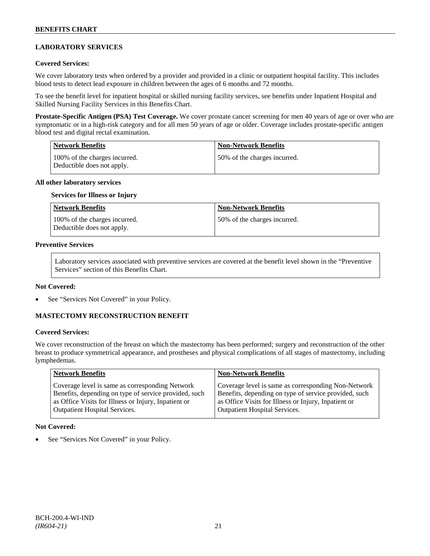# **LABORATORY SERVICES**

### **Covered Services:**

We cover laboratory tests when ordered by a provider and provided in a clinic or outpatient hospital facility. This includes blood tests to detect lead exposure in children between the ages of 6 months and 72 months.

To see the benefit level for inpatient hospital or skilled nursing facility services, see benefits under Inpatient Hospital and Skilled Nursing Facility Services in this Benefits Chart.

**Prostate-Specific Antigen (PSA) Test Coverage.** We cover prostate cancer screening for men 40 years of age or over who are symptomatic or in a high-risk category and for all men 50 years of age or older. Coverage includes prostate-specific antigen blood test and digital rectal examination.

| Network Benefits                                            | <b>Non-Network Benefits</b>  |
|-------------------------------------------------------------|------------------------------|
| 100% of the charges incurred.<br>Deductible does not apply. | 50% of the charges incurred. |

#### **All other laboratory services**

#### **Services for Illness or Injury**

| <b>Network Benefits</b>                                     | <b>Non-Network Benefits</b>  |
|-------------------------------------------------------------|------------------------------|
| 100% of the charges incurred.<br>Deductible does not apply. | 50% of the charges incurred. |

#### **Preventive Services**

Laboratory services associated with preventive services are covered at the benefit level shown in the "Preventive Services" section of this Benefits Chart.

#### **Not Covered:**

See "Services Not Covered" in your Policy.

# **MASTECTOMY RECONSTRUCTION BENEFIT**

# **Covered Services:**

We cover reconstruction of the breast on which the mastectomy has been performed; surgery and reconstruction of the other breast to produce symmetrical appearance, and prostheses and physical complications of all stages of mastectomy, including lymphedemas.

| <b>Network Benefits</b>                               | <b>Non-Network Benefits</b>                           |
|-------------------------------------------------------|-------------------------------------------------------|
| Coverage level is same as corresponding Network       | Coverage level is same as corresponding Non-Network   |
| Benefits, depending on type of service provided, such | Benefits, depending on type of service provided, such |
| as Office Visits for Illness or Injury, Inpatient or  | as Office Visits for Illness or Injury, Inpatient or  |
| <b>Outpatient Hospital Services.</b>                  | <b>Outpatient Hospital Services.</b>                  |

#### **Not Covered:**

See "Services Not Covered" in your Policy.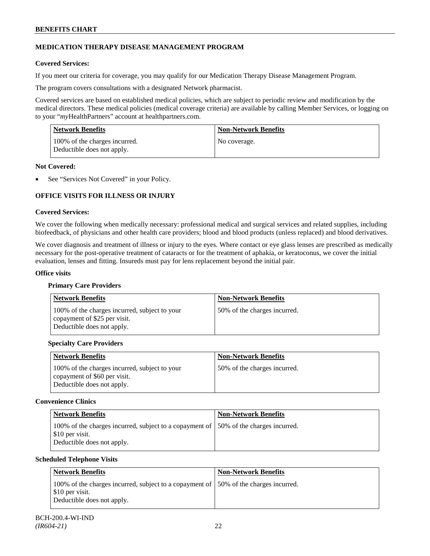# **MEDICATION THERAPY DISEASE MANAGEMENT PROGRAM**

# **Covered Services:**

If you meet our criteria for coverage, you may qualify for our Medication Therapy Disease Management Program.

The program covers consultations with a designated Network pharmacist.

Covered services are based on established medical policies, which are subject to periodic review and modification by the medical directors. These medical policies (medical coverage criteria) are available by calling Member Services, or logging on to your "*my*HealthPartners" account at [healthpartners.com.](http://www.healthpartners.com/)

| <b>Network Benefits</b>                                     | <b>Non-Network Benefits</b> |
|-------------------------------------------------------------|-----------------------------|
| 100% of the charges incurred.<br>Deductible does not apply. | No coverage.                |

### **Not Covered:**

See "Services Not Covered" in your Policy.

# **OFFICE VISITS FOR ILLNESS OR INJURY**

### **Covered Services:**

We cover the following when medically necessary: professional medical and surgical services and related supplies, including biofeedback, of physicians and other health care providers; blood and blood products (unless replaced) and blood derivatives.

We cover diagnosis and treatment of illness or injury to the eyes. Where contact or eye glass lenses are prescribed as medically necessary for the post-operative treatment of cataracts or for the treatment of aphakia, or keratoconus, we cover the initial evaluation, lenses and fitting. Insureds must pay for lens replacement beyond the initial pair.

### **Office visits**

# **Primary Care Providers**

| <b>Network Benefits</b>                                                                                     | <b>Non-Network Benefits</b>  |
|-------------------------------------------------------------------------------------------------------------|------------------------------|
| 100% of the charges incurred, subject to your<br>copayment of \$25 per visit.<br>Deductible does not apply. | 50% of the charges incurred. |

# **Specialty Care Providers**

| <b>Network Benefits</b>                                                                                     | <b>Non-Network Benefits</b>  |
|-------------------------------------------------------------------------------------------------------------|------------------------------|
| 100% of the charges incurred, subject to your<br>copayment of \$60 per visit.<br>Deductible does not apply. | 50% of the charges incurred. |

# **Convenience Clinics**

| <b>Network Benefits</b>                                                                                                               | <b>Non-Network Benefits</b> |
|---------------------------------------------------------------------------------------------------------------------------------------|-----------------------------|
| 100% of the charges incurred, subject to a copayment of 50% of the charges incurred.<br>\$10 per visit.<br>Deductible does not apply. |                             |

#### **Scheduled Telephone Visits**

| Network Benefits                                                                                                                       | <b>Non-Network Benefits</b> |
|----------------------------------------------------------------------------------------------------------------------------------------|-----------------------------|
| 100% of the charges incurred, subject to a copayment of 150% of the charges incurred.<br>\$10 per visit.<br>Deductible does not apply. |                             |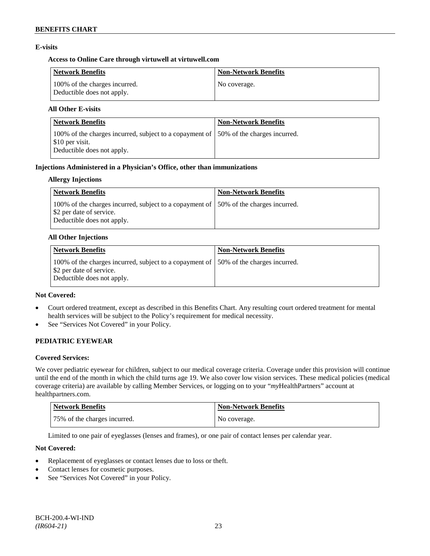# **E-visits**

# **Access to Online Care through virtuwell a[t virtuwell.com](http://www.virtuwell.com/)**

| <b>Network Benefits</b>                                     | <b>Non-Network Benefits</b> |
|-------------------------------------------------------------|-----------------------------|
| 100% of the charges incurred.<br>Deductible does not apply. | No coverage.                |

# **All Other E-visits**

| <b>Network Benefits</b>                                                                                                                | <b>Non-Network Benefits</b> |
|----------------------------------------------------------------------------------------------------------------------------------------|-----------------------------|
| 100% of the charges incurred, subject to a copayment of 150% of the charges incurred.<br>\$10 per visit.<br>Deductible does not apply. |                             |

### **Injections Administered in a Physician's Office, other than immunizations**

### **Allergy Injections**

| <b>Network Benefits</b>                                                                                                                              | <b>Non-Network Benefits</b> |
|------------------------------------------------------------------------------------------------------------------------------------------------------|-----------------------------|
| 100% of the charges incurred, subject to a copayment of 150% of the charges incurred.<br>Select 2 per date of service.<br>Deductible does not apply. |                             |

### **All Other Injections**

| Network Benefits                                                                                                                                | <b>Non-Network Benefits</b> |
|-------------------------------------------------------------------------------------------------------------------------------------------------|-----------------------------|
| 100% of the charges incurred, subject to a copayment of 150% of the charges incurred.<br>\$2 per date of service.<br>Deductible does not apply. |                             |

### **Not Covered:**

- Court ordered treatment, except as described in this Benefits Chart. Any resulting court ordered treatment for mental health services will be subject to the Policy's requirement for medical necessity.
- See "Services Not Covered" in your Policy.

# **PEDIATRIC EYEWEAR**

# **Covered Services:**

We cover pediatric eyewear for children, subject to our medical coverage criteria. Coverage under this provision will continue until the end of the month in which the child turns age 19. We also cover low vision services. These medical policies (medical coverage criteria) are available by calling Member Services, or logging on to your "*my*HealthPartners" account at [healthpartners.com.](http://www.healthpartners.com/)

| <b>Network Benefits</b>      | Non-Network Benefits |
|------------------------------|----------------------|
| 75% of the charges incurred. | No coverage.         |

Limited to one pair of eyeglasses (lenses and frames), or one pair of contact lenses per calendar year.

# **Not Covered:**

- Replacement of eyeglasses or contact lenses due to loss or theft.
- Contact lenses for cosmetic purposes.
- See "Services Not Covered" in your Policy.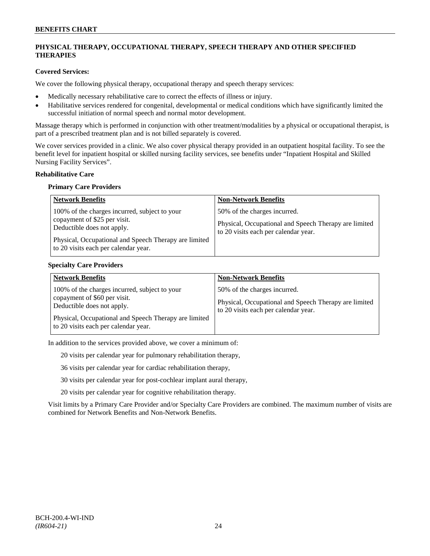# **PHYSICAL THERAPY, OCCUPATIONAL THERAPY, SPEECH THERAPY AND OTHER SPECIFIED THERAPIES**

# **Covered Services:**

We cover the following physical therapy, occupational therapy and speech therapy services:

- Medically necessary rehabilitative care to correct the effects of illness or injury.
- Habilitative services rendered for congenital, developmental or medical conditions which have significantly limited the successful initiation of normal speech and normal motor development.

Massage therapy which is performed in conjunction with other treatment/modalities by a physical or occupational therapist, is part of a prescribed treatment plan and is not billed separately is covered.

We cover services provided in a clinic. We also cover physical therapy provided in an outpatient hospital facility. To see the benefit level for inpatient hospital or skilled nursing facility services, see benefits under "Inpatient Hospital and Skilled Nursing Facility Services".

### **Rehabilitative Care**

#### **Primary Care Providers**

| <b>Network Benefits</b>                                                                                                                                                                                      | <b>Non-Network Benefits</b>                                                                                                   |
|--------------------------------------------------------------------------------------------------------------------------------------------------------------------------------------------------------------|-------------------------------------------------------------------------------------------------------------------------------|
| 100% of the charges incurred, subject to your<br>copayment of \$25 per visit.<br>Deductible does not apply.<br>Physical, Occupational and Speech Therapy are limited<br>to 20 visits each per calendar year. | 50% of the charges incurred.<br>Physical, Occupational and Speech Therapy are limited<br>to 20 visits each per calendar year. |

### **Specialty Care Providers**

| <b>Network Benefits</b>                                                                                                                                                                                      | <b>Non-Network Benefits</b>                                                                                                   |
|--------------------------------------------------------------------------------------------------------------------------------------------------------------------------------------------------------------|-------------------------------------------------------------------------------------------------------------------------------|
| 100% of the charges incurred, subject to your<br>copayment of \$60 per visit.<br>Deductible does not apply.<br>Physical, Occupational and Speech Therapy are limited<br>to 20 visits each per calendar year. | 50% of the charges incurred.<br>Physical, Occupational and Speech Therapy are limited<br>to 20 visits each per calendar year. |

In addition to the services provided above, we cover a minimum of:

20 visits per calendar year for pulmonary rehabilitation therapy,

36 visits per calendar year for cardiac rehabilitation therapy,

30 visits per calendar year for post-cochlear implant aural therapy,

20 visits per calendar year for cognitive rehabilitation therapy.

Visit limits by a Primary Care Provider and/or Specialty Care Providers are combined. The maximum number of visits are combined for Network Benefits and Non-Network Benefits.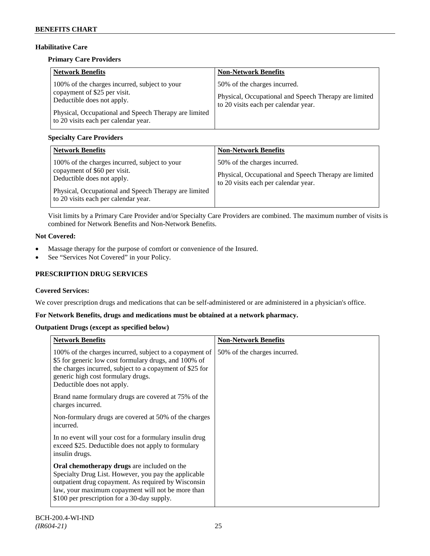# **Habilitative Care**

# **Primary Care Providers**

| <b>Network Benefits</b>                                                                                                                                                                                      | <b>Non-Network Benefits</b>                                                                                                   |
|--------------------------------------------------------------------------------------------------------------------------------------------------------------------------------------------------------------|-------------------------------------------------------------------------------------------------------------------------------|
| 100% of the charges incurred, subject to your<br>copayment of \$25 per visit.<br>Deductible does not apply.<br>Physical, Occupational and Speech Therapy are limited<br>to 20 visits each per calendar year. | 50% of the charges incurred.<br>Physical, Occupational and Speech Therapy are limited<br>to 20 visits each per calendar year. |

# **Specialty Care Providers**

| <b>Network Benefits</b>                                                                                                                                                                                      | <b>Non-Network Benefits</b>                                                                                                   |
|--------------------------------------------------------------------------------------------------------------------------------------------------------------------------------------------------------------|-------------------------------------------------------------------------------------------------------------------------------|
| 100% of the charges incurred, subject to your<br>copayment of \$60 per visit.<br>Deductible does not apply.<br>Physical, Occupational and Speech Therapy are limited<br>to 20 visits each per calendar year. | 50% of the charges incurred.<br>Physical, Occupational and Speech Therapy are limited<br>to 20 visits each per calendar year. |

Visit limits by a Primary Care Provider and/or Specialty Care Providers are combined. The maximum number of visits is combined for Network Benefits and Non-Network Benefits.

# **Not Covered:**

- Massage therapy for the purpose of comfort or convenience of the Insured.
- See "Services Not Covered" in your Policy.

# **PRESCRIPTION DRUG SERVICES**

# **Covered Services:**

We cover prescription drugs and medications that can be self-administered or are administered in a physician's office.

# **For Network Benefits, drugs and medications must be obtained at a network pharmacy.**

# **Outpatient Drugs (except as specified below)**

| <b>Network Benefits</b>                                                                                                                                                                                                                                               | <b>Non-Network Benefits</b>  |
|-----------------------------------------------------------------------------------------------------------------------------------------------------------------------------------------------------------------------------------------------------------------------|------------------------------|
| 100% of the charges incurred, subject to a copayment of<br>\$5 for generic low cost formulary drugs, and 100% of<br>the charges incurred, subject to a copayment of \$25 for<br>generic high cost formulary drugs.<br>Deductible does not apply.                      | 50% of the charges incurred. |
| Brand name formulary drugs are covered at 75% of the<br>charges incurred.                                                                                                                                                                                             |                              |
| Non-formulary drugs are covered at 50% of the charges<br>incurred.                                                                                                                                                                                                    |                              |
| In no event will your cost for a formulary insulin drug<br>exceed \$25. Deductible does not apply to formulary<br>insulin drugs.                                                                                                                                      |                              |
| <b>Oral chemotherapy drugs</b> are included on the<br>Specialty Drug List. However, you pay the applicable<br>outpatient drug copayment. As required by Wisconsin<br>law, your maximum copayment will not be more than<br>\$100 per prescription for a 30-day supply. |                              |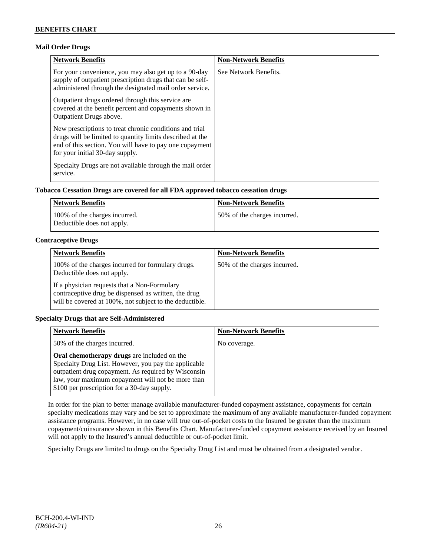# **Mail Order Drugs**

| <b>Network Benefits</b>                                                                                                                                                                                            | <b>Non-Network Benefits</b> |
|--------------------------------------------------------------------------------------------------------------------------------------------------------------------------------------------------------------------|-----------------------------|
| For your convenience, you may also get up to a 90-day<br>supply of outpatient prescription drugs that can be self-<br>administered through the designated mail order service.                                      | See Network Benefits.       |
| Outpatient drugs ordered through this service are.<br>covered at the benefit percent and copayments shown in<br><b>Outpatient Drugs above.</b>                                                                     |                             |
| New prescriptions to treat chronic conditions and trial<br>drugs will be limited to quantity limits described at the<br>end of this section. You will have to pay one copayment<br>for your initial 30-day supply. |                             |
| Specialty Drugs are not available through the mail order<br>service.                                                                                                                                               |                             |

# **Tobacco Cessation Drugs are covered for all FDA approved tobacco cessation drugs**

| Network Benefits                                            | <b>Non-Network Benefits</b>  |
|-------------------------------------------------------------|------------------------------|
| 100% of the charges incurred.<br>Deductible does not apply. | 50% of the charges incurred. |

# **Contraceptive Drugs**

| <b>Network Benefits</b>                                                                                                                                         | <b>Non-Network Benefits</b>  |
|-----------------------------------------------------------------------------------------------------------------------------------------------------------------|------------------------------|
| 100% of the charges incurred for formulary drugs.<br>Deductible does not apply.                                                                                 | 50% of the charges incurred. |
| If a physician requests that a Non-Formulary<br>contraceptive drug be dispensed as written, the drug<br>will be covered at 100%, not subject to the deductible. |                              |

# **Specialty Drugs that are Self-Administered**

| <b>Network Benefits</b>                                                                                                                                                                                                                                               | <b>Non-Network Benefits</b> |
|-----------------------------------------------------------------------------------------------------------------------------------------------------------------------------------------------------------------------------------------------------------------------|-----------------------------|
| 50% of the charges incurred.                                                                                                                                                                                                                                          | No coverage.                |
| <b>Oral chemotherapy drugs</b> are included on the<br>Specialty Drug List. However, you pay the applicable<br>outpatient drug copayment. As required by Wisconsin<br>law, your maximum copayment will not be more than<br>\$100 per prescription for a 30-day supply. |                             |

In order for the plan to better manage available manufacturer-funded copayment assistance, copayments for certain specialty medications may vary and be set to approximate the maximum of any available manufacturer-funded copayment assistance programs. However, in no case will true out-of-pocket costs to the Insured be greater than the maximum copayment/coinsurance shown in this Benefits Chart. Manufacturer-funded copayment assistance received by an Insured will not apply to the Insured's annual deductible or out-of-pocket limit.

Specialty Drugs are limited to drugs on the Specialty Drug List and must be obtained from a designated vendor.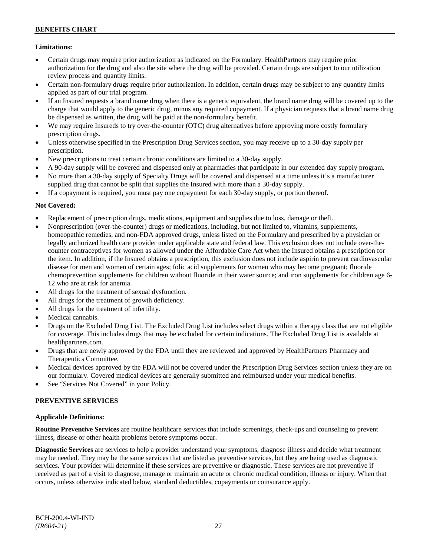# **Limitations:**

- Certain drugs may require prior authorization as indicated on the Formulary. HealthPartners may require prior authorization for the drug and also the site where the drug will be provided. Certain drugs are subject to our utilization review process and quantity limits.
- Certain non-formulary drugs require prior authorization. In addition, certain drugs may be subject to any quantity limits applied as part of our trial program.
- If an Insured requests a brand name drug when there is a generic equivalent, the brand name drug will be covered up to the charge that would apply to the generic drug, minus any required copayment. If a physician requests that a brand name drug be dispensed as written, the drug will be paid at the non-formulary benefit.
- We may require Insureds to try over-the-counter (OTC) drug alternatives before approving more costly formulary prescription drugs.
- Unless otherwise specified in the Prescription Drug Services section, you may receive up to a 30-day supply per prescription.
- New prescriptions to treat certain chronic conditions are limited to a 30-day supply.
- A 90-day supply will be covered and dispensed only at pharmacies that participate in our extended day supply program.
- No more than a 30-day supply of Specialty Drugs will be covered and dispensed at a time unless it's a manufacturer supplied drug that cannot be split that supplies the Insured with more than a 30-day supply.
- If a copayment is required, you must pay one copayment for each 30-day supply, or portion thereof.

# **Not Covered:**

- Replacement of prescription drugs, medications, equipment and supplies due to loss, damage or theft.
- Nonprescription (over-the-counter) drugs or medications, including, but not limited to, vitamins, supplements, homeopathic remedies, and non-FDA approved drugs, unless listed on the Formulary and prescribed by a physician or legally authorized health care provider under applicable state and federal law. This exclusion does not include over-thecounter contraceptives for women as allowed under the Affordable Care Act when the Insured obtains a prescription for the item. In addition, if the Insured obtains a prescription, this exclusion does not include aspirin to prevent cardiovascular disease for men and women of certain ages; folic acid supplements for women who may become pregnant; fluoride chemoprevention supplements for children without fluoride in their water source; and iron supplements for children age 6- 12 who are at risk for anemia.
- All drugs for the treatment of sexual dysfunction.
- All drugs for the treatment of growth deficiency.
- All drugs for the treatment of infertility.
- Medical cannabis.
- Drugs on the Excluded Drug List. The Excluded Drug List includes select drugs within a therapy class that are not eligible for coverage. This includes drugs that may be excluded for certain indications. The Excluded Drug List is available at [healthpartners.com.](http://www.healthpartners.com/)
- Drugs that are newly approved by the FDA until they are reviewed and approved by HealthPartners Pharmacy and Therapeutics Committee.
- Medical devices approved by the FDA will not be covered under the Prescription Drug Services section unless they are on our formulary. Covered medical devices are generally submitted and reimbursed under your medical benefits.
- See "Services Not Covered" in your Policy.

# **PREVENTIVE SERVICES**

# **Applicable Definitions:**

**Routine Preventive Services** are routine healthcare services that include screenings, check-ups and counseling to prevent illness, disease or other health problems before symptoms occur.

**Diagnostic Services** are services to help a provider understand your symptoms, diagnose illness and decide what treatment may be needed. They may be the same services that are listed as preventive services, but they are being used as diagnostic services. Your provider will determine if these services are preventive or diagnostic. These services are not preventive if received as part of a visit to diagnose, manage or maintain an acute or chronic medical condition, illness or injury. When that occurs, unless otherwise indicated below, standard deductibles, copayments or coinsurance apply.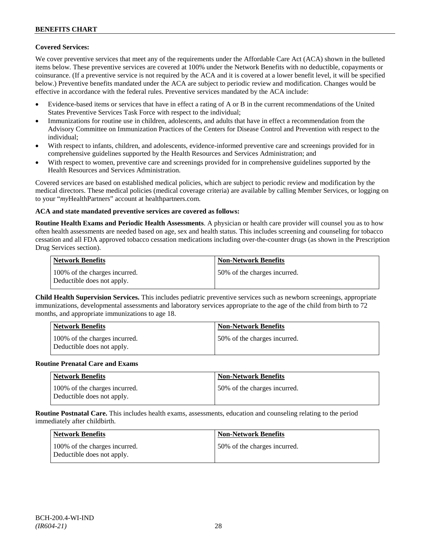# **Covered Services:**

We cover preventive services that meet any of the requirements under the Affordable Care Act (ACA) shown in the bulleted items below. These preventive services are covered at 100% under the Network Benefits with no deductible, copayments or coinsurance. (If a preventive service is not required by the ACA and it is covered at a lower benefit level, it will be specified below.) Preventive benefits mandated under the ACA are subject to periodic review and modification. Changes would be effective in accordance with the federal rules. Preventive services mandated by the ACA include:

- Evidence-based items or services that have in effect a rating of A or B in the current recommendations of the United States Preventive Services Task Force with respect to the individual;
- Immunizations for routine use in children, adolescents, and adults that have in effect a recommendation from the Advisory Committee on Immunization Practices of the Centers for Disease Control and Prevention with respect to the individual;
- With respect to infants, children, and adolescents, evidence-informed preventive care and screenings provided for in comprehensive guidelines supported by the Health Resources and Services Administration; and
- With respect to women, preventive care and screenings provided for in comprehensive guidelines supported by the Health Resources and Services Administration.

Covered services are based on established medical policies, which are subject to periodic review and modification by the medical directors. These medical policies (medical coverage criteria) are available by calling Member Services, or logging on to your "*my*HealthPartners" account at [healthpartners.com.](http://www.healthpartners.com/)

### **ACA and state mandated preventive services are covered as follows:**

**Routine Health Exams and Periodic Health Assessments**. A physician or health care provider will counsel you as to how often health assessments are needed based on age, sex and health status. This includes screening and counseling for tobacco cessation and all FDA approved tobacco cessation medications including over-the-counter drugs (as shown in the Prescription Drug Services section).

| <b>Network Benefits</b>                                     | <b>Non-Network Benefits</b>  |
|-------------------------------------------------------------|------------------------------|
| 100% of the charges incurred.<br>Deductible does not apply. | 50% of the charges incurred. |

**Child Health Supervision Services.** This includes pediatric preventive services such as newborn screenings, appropriate immunizations, developmental assessments and laboratory services appropriate to the age of the child from birth to 72 months, and appropriate immunizations to age 18.

| <b>Network Benefits</b>                                     | <b>Non-Network Benefits</b>  |
|-------------------------------------------------------------|------------------------------|
| 100% of the charges incurred.<br>Deductible does not apply. | 50% of the charges incurred. |

#### **Routine Prenatal Care and Exams**

| <b>Network Benefits</b>                                     | <b>Non-Network Benefits</b>  |
|-------------------------------------------------------------|------------------------------|
| 100% of the charges incurred.<br>Deductible does not apply. | 50% of the charges incurred. |

**Routine Postnatal Care.** This includes health exams, assessments, education and counseling relating to the period immediately after childbirth.

| Network Benefits                                            | <b>Non-Network Benefits</b>  |
|-------------------------------------------------------------|------------------------------|
| 100% of the charges incurred.<br>Deductible does not apply. | 50% of the charges incurred. |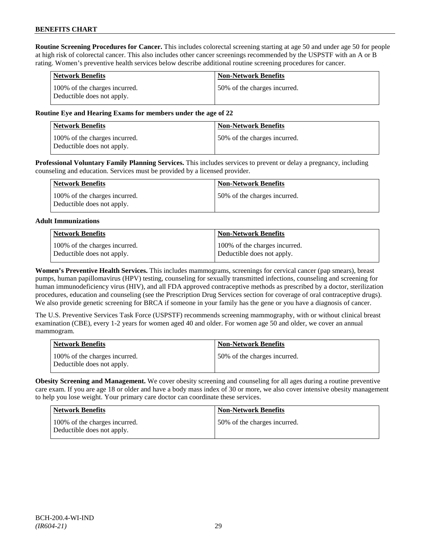**Routine Screening Procedures for Cancer.** This includes colorectal screening starting at age 50 and under age 50 for people at high risk of colorectal cancer. This also includes other cancer screenings recommended by the USPSTF with an A or B rating. Women's preventive health services below describe additional routine screening procedures for cancer.

| <b>Network Benefits</b>                                     | <b>Non-Network Benefits</b>  |
|-------------------------------------------------------------|------------------------------|
| 100% of the charges incurred.<br>Deductible does not apply. | 50% of the charges incurred. |

# **Routine Eye and Hearing Exams for members under the age of 22**

| <b>Network Benefits</b>                                     | <b>Non-Network Benefits</b>  |
|-------------------------------------------------------------|------------------------------|
| 100% of the charges incurred.<br>Deductible does not apply. | 50% of the charges incurred. |

**Professional Voluntary Family Planning Services.** This includes services to prevent or delay a pregnancy, including counseling and education. Services must be provided by a licensed provider.

| Network Benefits                                            | <b>Non-Network Benefits</b>  |
|-------------------------------------------------------------|------------------------------|
| 100% of the charges incurred.<br>Deductible does not apply. | 50% of the charges incurred. |

### **Adult Immunizations**

| Network Benefits              | Non-Network Benefits          |
|-------------------------------|-------------------------------|
| 100% of the charges incurred. | 100% of the charges incurred. |
| Deductible does not apply.    | Deductible does not apply.    |

**Women's Preventive Health Services.** This includes mammograms, screenings for cervical cancer (pap smears), breast pumps, human papillomavirus (HPV) testing, counseling for sexually transmitted infections, counseling and screening for human immunodeficiency virus (HIV), and all FDA approved contraceptive methods as prescribed by a doctor, sterilization procedures, education and counseling (see the Prescription Drug Services section for coverage of oral contraceptive drugs). We also provide genetic screening for BRCA if someone in your family has the gene or you have a diagnosis of cancer.

The U.S. Preventive Services Task Force (USPSTF) recommends screening mammography, with or without clinical breast examination (CBE), every 1-2 years for women aged 40 and older. For women age 50 and older, we cover an annual mammogram.

| <b>Network Benefits</b>                                     | <b>Non-Network Benefits</b>  |
|-------------------------------------------------------------|------------------------------|
| 100% of the charges incurred.<br>Deductible does not apply. | 50% of the charges incurred. |

**Obesity Screening and Management.** We cover obesity screening and counseling for all ages during a routine preventive care exam. If you are age 18 or older and have a body mass index of 30 or more, we also cover intensive obesity management to help you lose weight. Your primary care doctor can coordinate these services.

| <b>Network Benefits</b>                                     | <b>Non-Network Benefits</b>  |
|-------------------------------------------------------------|------------------------------|
| 100% of the charges incurred.<br>Deductible does not apply. | 50% of the charges incurred. |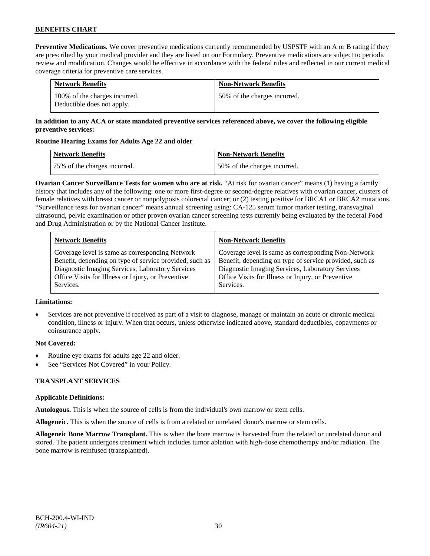**Preventive Medications.** We cover preventive medications currently recommended by USPSTF with an A or B rating if they are prescribed by your medical provider and they are listed on our Formulary. Preventive medications are subject to periodic review and modification. Changes would be effective in accordance with the federal rules and reflected in our current medical coverage criteria for preventive care services.

| <b>Network Benefits</b>                                     | <b>Non-Network Benefits</b>  |
|-------------------------------------------------------------|------------------------------|
| 100% of the charges incurred.<br>Deductible does not apply. | 50% of the charges incurred. |

# **In addition to any ACA or state mandated preventive services referenced above, we cover the following eligible preventive services:**

# **Routine Hearing Exams for Adults Age 22 and older**

| Network Benefits             | <b>Non-Network Benefits</b>  |
|------------------------------|------------------------------|
| 75% of the charges incurred. | 50% of the charges incurred. |

**Ovarian Cancer Surveillance Tests for women who are at risk.** "At risk for ovarian cancer" means (1) having a family history that includes any of the following: one or more first-degree or second-degree relatives with ovarian cancer, clusters of female relatives with breast cancer or nonpolyposis colorectal cancer; or (2) testing positive for BRCA1 or BRCA2 mutations. "Surveillance tests for ovarian cancer" means annual screening using: CA-125 serum tumor marker testing, transvaginal ultrasound, pelvic examination or other proven ovarian cancer screening tests currently being evaluated by the federal Food and Drug Administration or by the National Cancer Institute.

| <b>Network Benefits</b>                                 | <b>Non-Network Benefits</b>                             |
|---------------------------------------------------------|---------------------------------------------------------|
| Coverage level is same as corresponding Network         | Coverage level is same as corresponding Non-Network     |
| Benefit, depending on type of service provided, such as | Benefit, depending on type of service provided, such as |
| Diagnostic Imaging Services, Laboratory Services        | Diagnostic Imaging Services, Laboratory Services        |
| Office Visits for Illness or Injury, or Preventive      | Office Visits for Illness or Injury, or Preventive      |
| Services.                                               | Services.                                               |

#### **Limitations:**

• Services are not preventive if received as part of a visit to diagnose, manage or maintain an acute or chronic medical condition, illness or injury. When that occurs, unless otherwise indicated above, standard deductibles, copayments or coinsurance apply.

# **Not Covered:**

- Routine eye exams for adults age 22 and older.
- See "Services Not Covered" in your Policy.

# **TRANSPLANT SERVICES**

# **Applicable Definitions:**

**Autologous.** This is when the source of cells is from the individual's own marrow or stem cells.

**Allogeneic.** This is when the source of cells is from a related or unrelated donor's marrow or stem cells.

**Allogeneic Bone Marrow Transplant.** This is when the bone marrow is harvested from the related or unrelated donor and stored. The patient undergoes treatment which includes tumor ablation with high-dose chemotherapy and/or radiation. The bone marrow is reinfused (transplanted).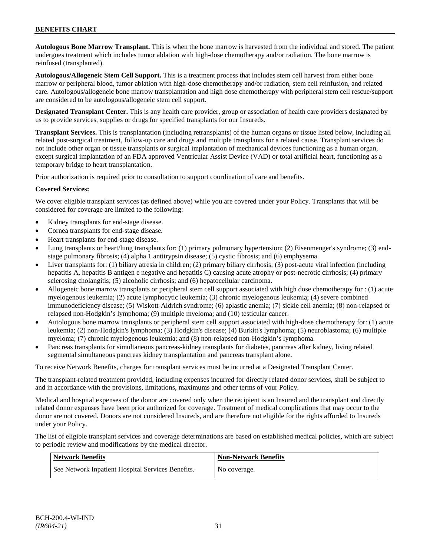# **BENEFITS CHART**

**Autologous Bone Marrow Transplant.** This is when the bone marrow is harvested from the individual and stored. The patient undergoes treatment which includes tumor ablation with high-dose chemotherapy and/or radiation. The bone marrow is reinfused (transplanted).

**Autologous/Allogeneic Stem Cell Support.** This is a treatment process that includes stem cell harvest from either bone marrow or peripheral blood, tumor ablation with high-dose chemotherapy and/or radiation, stem cell reinfusion, and related care. Autologous/allogeneic bone marrow transplantation and high dose chemotherapy with peripheral stem cell rescue/support are considered to be autologous/allogeneic stem cell support.

**Designated Transplant Center.** This is any health care provider, group or association of health care providers designated by us to provide services, supplies or drugs for specified transplants for our Insureds.

**Transplant Services.** This is transplantation (including retransplants) of the human organs or tissue listed below, including all related post-surgical treatment, follow-up care and drugs and multiple transplants for a related cause. Transplant services do not include other organ or tissue transplants or surgical implantation of mechanical devices functioning as a human organ, except surgical implantation of an FDA approved Ventricular Assist Device (VAD) or total artificial heart, functioning as a temporary bridge to heart transplantation.

Prior authorization is required prior to consultation to support coordination of care and benefits.

# **Covered Services:**

We cover eligible transplant services (as defined above) while you are covered under your Policy. Transplants that will be considered for coverage are limited to the following:

- Kidney transplants for end-stage disease.
- Cornea transplants for end-stage disease.
- Heart transplants for end-stage disease.
- Lung transplants or heart/lung transplants for: (1) primary pulmonary hypertension; (2) Eisenmenger's syndrome; (3) endstage pulmonary fibrosis; (4) alpha 1 antitrypsin disease; (5) cystic fibrosis; and (6) emphysema.
- Liver transplants for: (1) biliary atresia in children; (2) primary biliary cirrhosis; (3) post-acute viral infection (including hepatitis A, hepatitis B antigen e negative and hepatitis C) causing acute atrophy or post-necrotic cirrhosis; (4) primary sclerosing cholangitis; (5) alcoholic cirrhosis; and (6) hepatocellular carcinoma.
- Allogeneic bone marrow transplants or peripheral stem cell support associated with high dose chemotherapy for : (1) acute myelogenous leukemia; (2) acute lymphocytic leukemia; (3) chronic myelogenous leukemia; (4) severe combined immunodeficiency disease; (5) Wiskott-Aldrich syndrome; (6) aplastic anemia; (7) sickle cell anemia; (8) non-relapsed or relapsed non-Hodgkin's lymphoma; (9) multiple myeloma; and (10) testicular cancer.
- Autologous bone marrow transplants or peripheral stem cell support associated with high-dose chemotherapy for: (1) acute leukemia; (2) non-Hodgkin's lymphoma; (3) Hodgkin's disease; (4) Burkitt's lymphoma; (5) neuroblastoma; (6) multiple myeloma; (7) chronic myelogenous leukemia; and (8) non-relapsed non-Hodgkin's lymphoma.
- Pancreas transplants for simultaneous pancreas-kidney transplants for diabetes, pancreas after kidney, living related segmental simultaneous pancreas kidney transplantation and pancreas transplant alone.

To receive Network Benefits, charges for transplant services must be incurred at a Designated Transplant Center.

The transplant-related treatment provided, including expenses incurred for directly related donor services, shall be subject to and in accordance with the provisions, limitations, maximums and other terms of your Policy.

Medical and hospital expenses of the donor are covered only when the recipient is an Insured and the transplant and directly related donor expenses have been prior authorized for coverage. Treatment of medical complications that may occur to the donor are not covered. Donors are not considered Insureds, and are therefore not eligible for the rights afforded to Insureds under your Policy.

The list of eligible transplant services and coverage determinations are based on established medical policies, which are subject to periodic review and modifications by the medical director.

| <b>Network Benefits</b>                           | <b>Non-Network Benefits</b> |
|---------------------------------------------------|-----------------------------|
| See Network Inpatient Hospital Services Benefits. | No coverage.                |